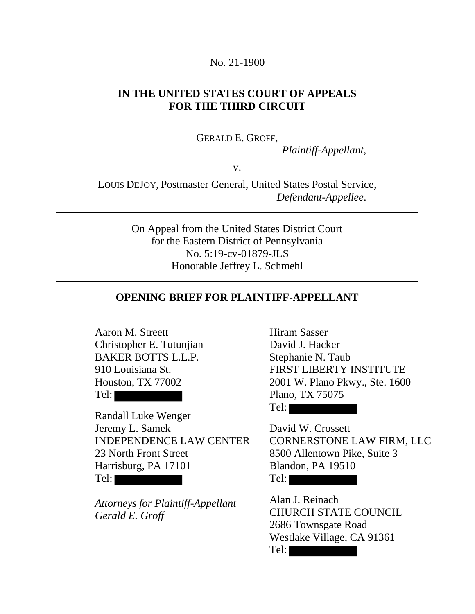### No. 21-1900

## **IN THE UNITED STATES COURT OF APPEALS FOR THE THIRD CIRCUIT**

## GERALD E. GROFF,

*Plaintiff-Appellant,*

v.

LOUIS DEJOY, Postmaster General, United States Postal Service, *Defendant-Appellee*.

> On Appeal from the United States District Court for the Eastern District of Pennsylvania No. 5:19-cv-01879-JLS Honorable Jeffrey L. Schmehl

## **OPENING BRIEF FOR PLAINTIFF-APPELLANT**

Aaron M. Streett Christopher E. Tutunjian BAKER BOTTS L.L.P. 910 Louisiana St. Houston, TX 77002 Tel:

Randall Luke Wenger Jeremy L. Samek INDEPENDENCE LAW CENTER 23 North Front Street Harrisburg, PA 17101 Tel:

*Attorneys for Plaintiff-Appellant Gerald E. Groff*

Hiram Sasser David J. Hacker Stephanie N. Taub FIRST LIBERTY INSTITUTE 2001 W. Plano Pkwy., Ste. 1600 Plano, TX 75075 Tel:

David W. Crossett CORNERSTONE LAW FIRM, LLC 8500 Allentown Pike, Suite 3 Blandon, PA 19510 Tel:

Alan J. Reinach CHURCH STATE COUNCIL 2686 Townsgate Road Westlake Village, CA 91361

Tel: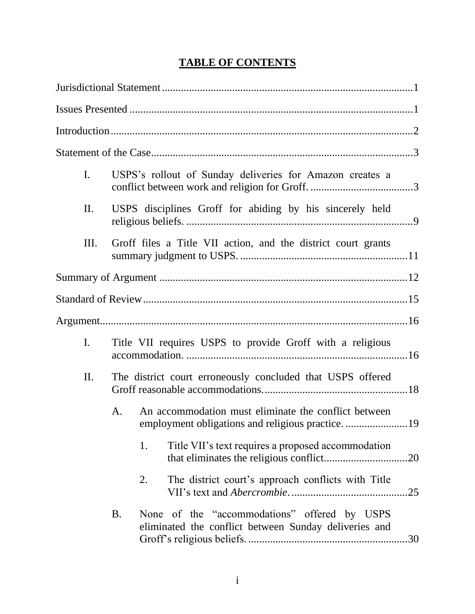# **TABLE OF CONTENTS**

| $\mathbf{I}$ .  |           | USPS's rollout of Sunday deliveries for Amazon creates a                                                |     |
|-----------------|-----------|---------------------------------------------------------------------------------------------------------|-----|
| $\mathbf{II}$ . |           | USPS disciplines Groff for abiding by his sincerely held                                                |     |
| III.            |           | Groff files a Title VII action, and the district court grants                                           |     |
|                 |           |                                                                                                         |     |
|                 |           |                                                                                                         |     |
|                 |           |                                                                                                         |     |
| I.              |           | Title VII requires USPS to provide Groff with a religious                                               |     |
| II.             |           | The district court erroneously concluded that USPS offered                                              |     |
|                 | A.        | An accommodation must eliminate the conflict between<br>employment obligations and religious practice19 |     |
|                 |           | Title VII's text requires a proposed accommodation<br>1.                                                |     |
|                 |           | The district court's approach conflicts with Title<br>2.                                                | .25 |
|                 | <b>B.</b> | None of the "accommodations" offered by USPS<br>eliminated the conflict between Sunday deliveries and   |     |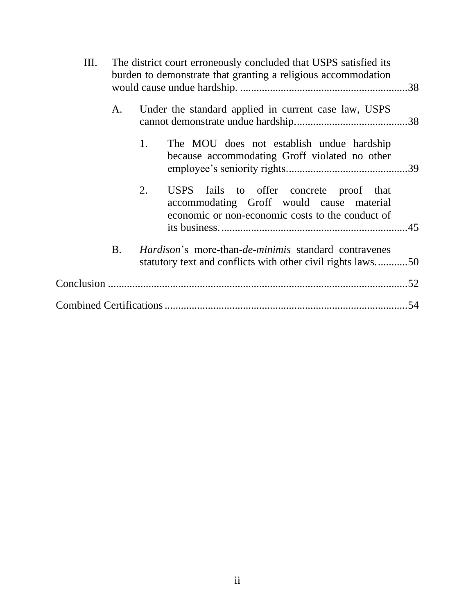| Ш. |           | The district court erroneously concluded that USPS satisfied its<br>burden to demonstrate that granting a religious accommodation             |  |
|----|-----------|-----------------------------------------------------------------------------------------------------------------------------------------------|--|
|    | A.        | Under the standard applied in current case law, USPS                                                                                          |  |
|    |           | The MOU does not establish undue hardship<br>1.<br>because accommodating Groff violated no other                                              |  |
|    |           | 2.<br>USPS fails to offer concrete proof that<br>accommodating Groff would cause material<br>economic or non-economic costs to the conduct of |  |
|    | <b>B.</b> | <i>Hardison's</i> more-than- <i>de-minimis</i> standard contravenes<br>statutory text and conflicts with other civil rights laws50            |  |
|    |           |                                                                                                                                               |  |
|    |           |                                                                                                                                               |  |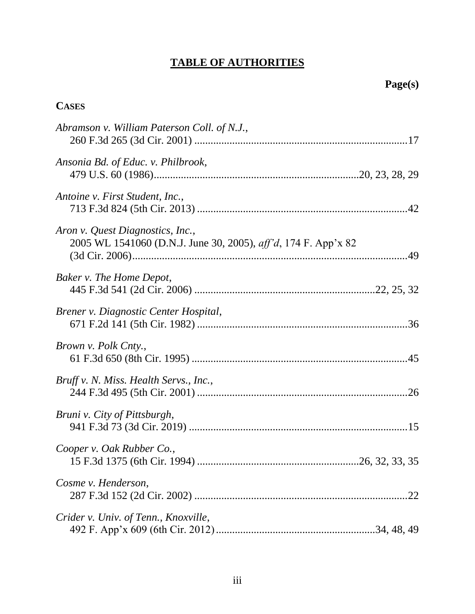# **TABLE OF AUTHORITIES**

# **CASES**

| Abramson v. William Paterson Coll. of N.J.,                                                                |
|------------------------------------------------------------------------------------------------------------|
| Ansonia Bd. of Educ. v. Philbrook,                                                                         |
| Antoine v. First Student, Inc.,                                                                            |
| Aron v. Quest Diagnostics, Inc.,<br>2005 WL 1541060 (D.N.J. June 30, 2005), <i>aff'd</i> , 174 F. App'x 82 |
| Baker v. The Home Depot,                                                                                   |
| Brener v. Diagnostic Center Hospital,                                                                      |
| Brown v. Polk Cnty.,                                                                                       |
| Bruff v. N. Miss. Health Servs., Inc.,                                                                     |
| Bruni v. City of Pittsburgh,                                                                               |
| Cooper v. Oak Rubber Co.,                                                                                  |
| Cosme v. Henderson,<br>22                                                                                  |
| Crider v. Univ. of Tenn., Knoxville,                                                                       |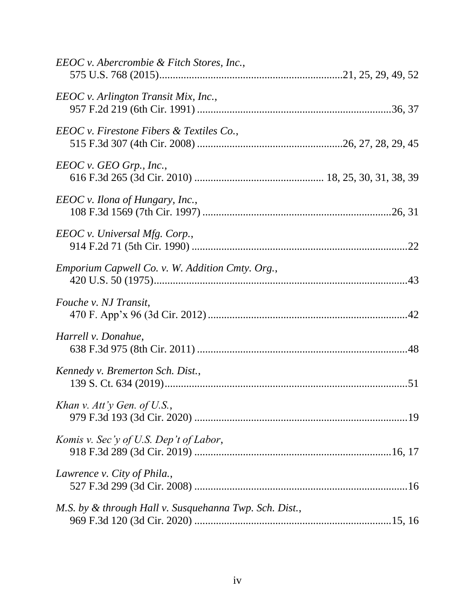| EEOC v. Abercrombie & Fitch Stores, Inc.,              |  |
|--------------------------------------------------------|--|
| EEOC v. Arlington Transit Mix, Inc.,                   |  |
| EEOC v. Firestone Fibers & Textiles Co.,               |  |
| $EEOC$ v. GEO Grp., Inc.,                              |  |
| EEOC v. Ilona of Hungary, Inc.,                        |  |
| EEOC v. Universal Mfg. Corp.,                          |  |
| <i>Emporium Capwell Co. v. W. Addition Cmty. Org.,</i> |  |
| Fouche v. NJ Transit,                                  |  |
| Harrell v. Donahue,                                    |  |
| Kennedy v. Bremerton Sch. Dist.,                       |  |
| Khan v. Att'y Gen. of U.S.,                            |  |
| Komis v. Sec'y of U.S. Dep't of Labor,                 |  |
| Lawrence v. City of Phila.,                            |  |
| M.S. by & through Hall v. Susquehanna Twp. Sch. Dist., |  |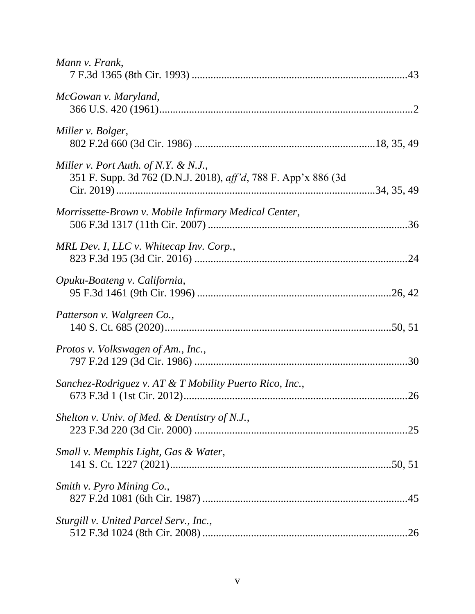| Mann v. Frank,                                                                                         |  |
|--------------------------------------------------------------------------------------------------------|--|
| McGowan v. Maryland,                                                                                   |  |
| Miller v. Bolger,                                                                                      |  |
| Miller v. Port Auth. of N.Y. & N.J.,<br>351 F. Supp. 3d 762 (D.N.J. 2018), aff'd, 788 F. App'x 886 (3d |  |
| Morrissette-Brown v. Mobile Infirmary Medical Center,                                                  |  |
| MRL Dev. I, LLC v. Whitecap Inv. Corp.,                                                                |  |
| Opuku-Boateng v. California,                                                                           |  |
| Patterson v. Walgreen Co.,                                                                             |  |
| Protos v. Volkswagen of Am., Inc.,                                                                     |  |
| Sanchez-Rodriguez v. AT & T Mobility Puerto Rico, Inc.,                                                |  |
| Shelton v. Univ. of Med. & Dentistry of N.J.,                                                          |  |
| Small v. Memphis Light, Gas & Water,                                                                   |  |
| Smith v. Pyro Mining Co.,                                                                              |  |
| Sturgill v. United Parcel Serv., Inc.,                                                                 |  |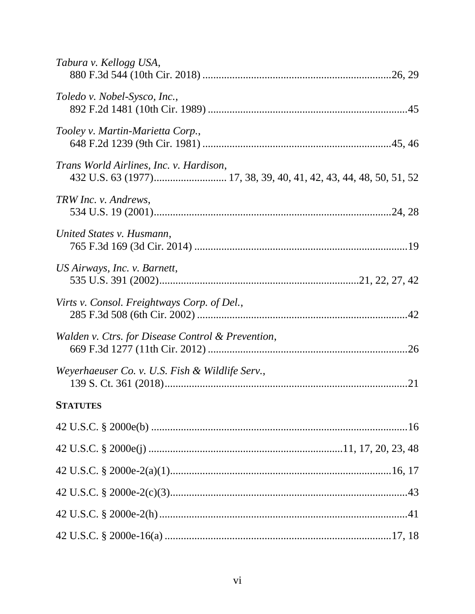| Tabura v. Kellogg USA,                                                                                       |
|--------------------------------------------------------------------------------------------------------------|
| Toledo v. Nobel-Sysco, Inc.,                                                                                 |
| Tooley v. Martin-Marietta Corp.,                                                                             |
| Trans World Airlines, Inc. v. Hardison,<br>432 U.S. 63 (1977) 17, 38, 39, 40, 41, 42, 43, 44, 48, 50, 51, 52 |
| TRW Inc. v. Andrews,                                                                                         |
| United States v. Husmann,                                                                                    |
| US Airways, Inc. v. Barnett,                                                                                 |
| Virts v. Consol. Freightways Corp. of Del.,                                                                  |
| Walden v. Ctrs. for Disease Control & Prevention,                                                            |
| Weyerhaeuser Co. v. U.S. Fish & Wildlife Serv.,                                                              |
| <b>STATUTES</b>                                                                                              |
|                                                                                                              |
|                                                                                                              |
|                                                                                                              |
|                                                                                                              |
|                                                                                                              |
|                                                                                                              |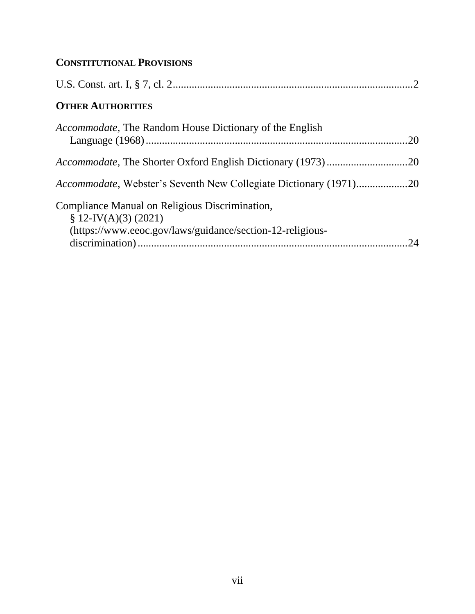# **CONSTITUTIONAL PROVISIONS**

| <b>OTHER AUTHORITIES</b>                                                  |    |
|---------------------------------------------------------------------------|----|
| <i>Accommodate</i> , The Random House Dictionary of the English           |    |
|                                                                           |    |
| <i>Accommodate</i> , Webster's Seventh New Collegiate Dictionary (1971)20 |    |
| Compliance Manual on Religious Discrimination,<br>$$ 12$ -IV(A)(3) (2021) |    |
| (https://www.eeoc.gov/laws/guidance/section-12-religious-                 | 24 |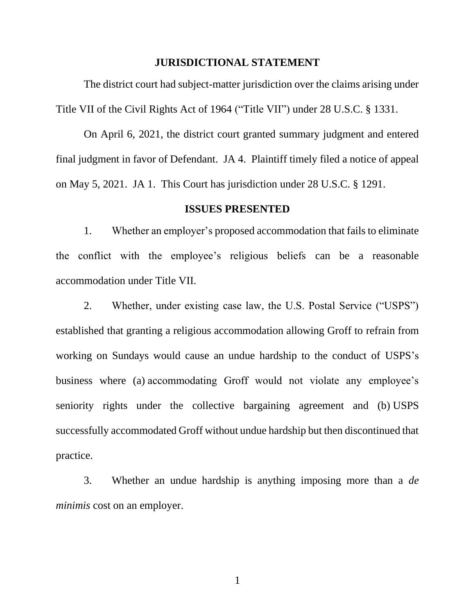### **JURISDICTIONAL STATEMENT**

The district court had subject-matter jurisdiction over the claims arising under Title VII of the Civil Rights Act of 1964 ("Title VII") under 28 U.S.C. § 1331.

On April 6, 2021, the district court granted summary judgment and entered final judgment in favor of Defendant. JA 4. Plaintiff timely filed a notice of appeal on May 5, 2021. JA 1. This Court has jurisdiction under 28 U.S.C. § 1291.

#### **ISSUES PRESENTED**

1. Whether an employer's proposed accommodation that fails to eliminate the conflict with the employee's religious beliefs can be a reasonable accommodation under Title VII.

2. Whether, under existing case law, the U.S. Postal Service ("USPS") established that granting a religious accommodation allowing Groff to refrain from working on Sundays would cause an undue hardship to the conduct of USPS's business where (a) accommodating Groff would not violate any employee's seniority rights under the collective bargaining agreement and (b) USPS successfully accommodated Groff without undue hardship but then discontinued that practice.

3. Whether an undue hardship is anything imposing more than a *de minimis* cost on an employer.

1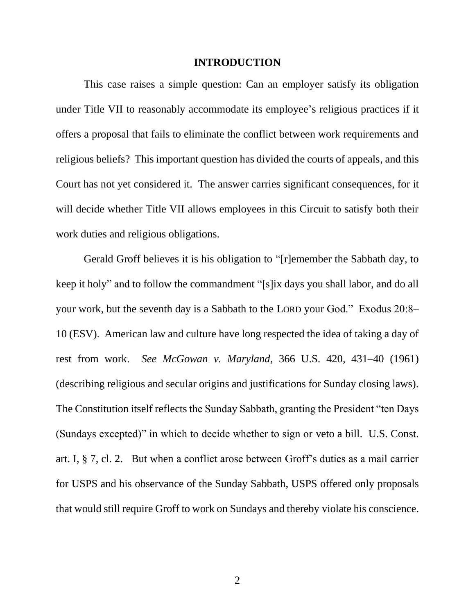#### **INTRODUCTION**

This case raises a simple question: Can an employer satisfy its obligation under Title VII to reasonably accommodate its employee's religious practices if it offers a proposal that fails to eliminate the conflict between work requirements and religious beliefs? This important question has divided the courts of appeals, and this Court has not yet considered it. The answer carries significant consequences, for it will decide whether Title VII allows employees in this Circuit to satisfy both their work duties and religious obligations.

Gerald Groff believes it is his obligation to "[r]emember the Sabbath day, to keep it holy" and to follow the commandment "[s]ix days you shall labor, and do all your work, but the seventh day is a Sabbath to the LORD your God." Exodus 20:8– 10 (ESV). American law and culture have long respected the idea of taking a day of rest from work. *See McGowan v. Maryland*, 366 U.S. 420, 431–40 (1961) (describing religious and secular origins and justifications for Sunday closing laws). The Constitution itself reflects the Sunday Sabbath, granting the President "ten Days (Sundays excepted)" in which to decide whether to sign or veto a bill. U.S. Const. art. I, § 7, cl. 2. But when a conflict arose between Groff's duties as a mail carrier for USPS and his observance of the Sunday Sabbath, USPS offered only proposals that would still require Groff to work on Sundays and thereby violate his conscience.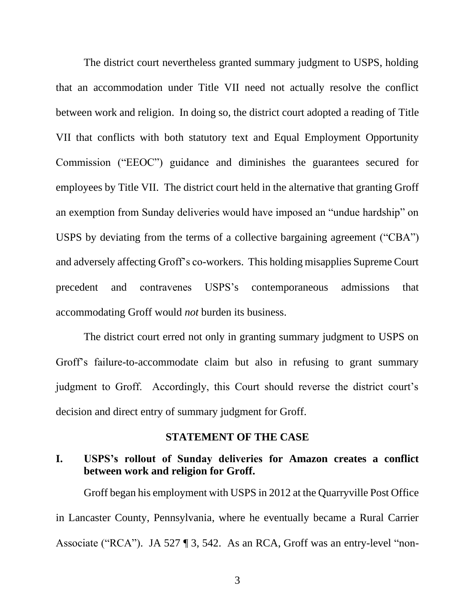The district court nevertheless granted summary judgment to USPS, holding that an accommodation under Title VII need not actually resolve the conflict between work and religion. In doing so, the district court adopted a reading of Title VII that conflicts with both statutory text and Equal Employment Opportunity Commission ("EEOC") guidance and diminishes the guarantees secured for employees by Title VII. The district court held in the alternative that granting Groff an exemption from Sunday deliveries would have imposed an "undue hardship" on USPS by deviating from the terms of a collective bargaining agreement ("CBA") and adversely affecting Groff's co-workers. This holding misapplies Supreme Court precedent and contravenes USPS's contemporaneous admissions that accommodating Groff would *not* burden its business.

The district court erred not only in granting summary judgment to USPS on Groff's failure-to-accommodate claim but also in refusing to grant summary judgment to Groff. Accordingly, this Court should reverse the district court's decision and direct entry of summary judgment for Groff.

#### **STATEMENT OF THE CASE**

## **I. USPS's rollout of Sunday deliveries for Amazon creates a conflict between work and religion for Groff.**

Groff began his employment with USPS in 2012 at the Quarryville Post Office in Lancaster County, Pennsylvania, where he eventually became a Rural Carrier Associate ("RCA"). JA 527 ¶ 3, 542. As an RCA, Groff was an entry-level "non-

3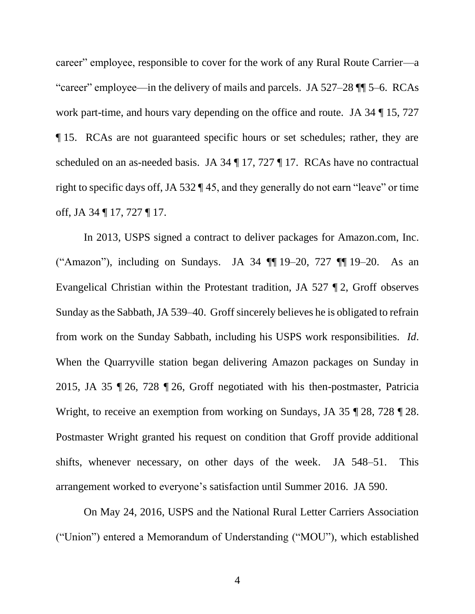career" employee, responsible to cover for the work of any Rural Route Carrier—a "career" employee—in the delivery of mails and parcels. JA 527–28 ¶¶ 5–6. RCAs work part-time, and hours vary depending on the office and route. JA 34 ¶ 15, 727 ¶ 15. RCAs are not guaranteed specific hours or set schedules; rather, they are scheduled on an as-needed basis. JA 34 ¶ 17, 727 ¶ 17. RCAs have no contractual right to specific days off, JA 532 ¶ 45, and they generally do not earn "leave" or time off, JA 34 ¶ 17, 727 ¶ 17.

In 2013, USPS signed a contract to deliver packages for Amazon.com, Inc. ("Amazon"), including on Sundays. JA 34 ¶¶ 19–20, 727 ¶¶ 19–20. As an Evangelical Christian within the Protestant tradition, JA 527 ¶ 2, Groff observes Sunday as the Sabbath, JA 539–40. Groff sincerely believes he is obligated to refrain from work on the Sunday Sabbath, including his USPS work responsibilities. *Id*. When the Quarryville station began delivering Amazon packages on Sunday in 2015, JA 35 ¶ 26, 728 ¶ 26, Groff negotiated with his then-postmaster, Patricia Wright, to receive an exemption from working on Sundays, JA 35 ¶ 28, 728 ¶ 28. Postmaster Wright granted his request on condition that Groff provide additional shifts, whenever necessary, on other days of the week. JA 548–51. This arrangement worked to everyone's satisfaction until Summer 2016. JA 590.

On May 24, 2016, USPS and the National Rural Letter Carriers Association ("Union") entered a Memorandum of Understanding ("MOU"), which established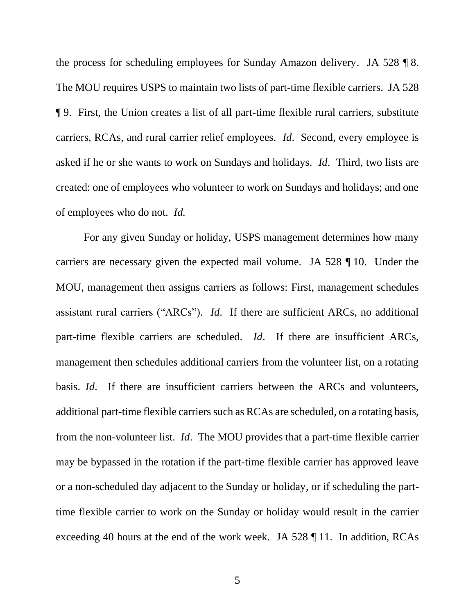the process for scheduling employees for Sunday Amazon delivery. JA 528 ¶ 8. The MOU requires USPS to maintain two lists of part-time flexible carriers. JA 528 ¶ 9. First, the Union creates a list of all part-time flexible rural carriers, substitute carriers, RCAs, and rural carrier relief employees. *Id*.Second, every employee is asked if he or she wants to work on Sundays and holidays. *Id*.Third, two lists are created: one of employees who volunteer to work on Sundays and holidays; and one of employees who do not. *Id.* 

For any given Sunday or holiday, USPS management determines how many carriers are necessary given the expected mail volume. JA 528 ¶ 10. Under the MOU, management then assigns carriers as follows: First, management schedules assistant rural carriers ("ARCs"). *Id*. If there are sufficient ARCs, no additional part-time flexible carriers are scheduled. *Id*. If there are insufficient ARCs, management then schedules additional carriers from the volunteer list, on a rotating basis. *Id*. If there are insufficient carriers between the ARCs and volunteers, additional part-time flexible carriers such as RCAs are scheduled, on a rotating basis, from the non-volunteer list. *Id*. The MOU provides that a part-time flexible carrier may be bypassed in the rotation if the part-time flexible carrier has approved leave or a non-scheduled day adjacent to the Sunday or holiday, or if scheduling the parttime flexible carrier to work on the Sunday or holiday would result in the carrier exceeding 40 hours at the end of the work week. JA 528 ¶ 11. In addition, RCAs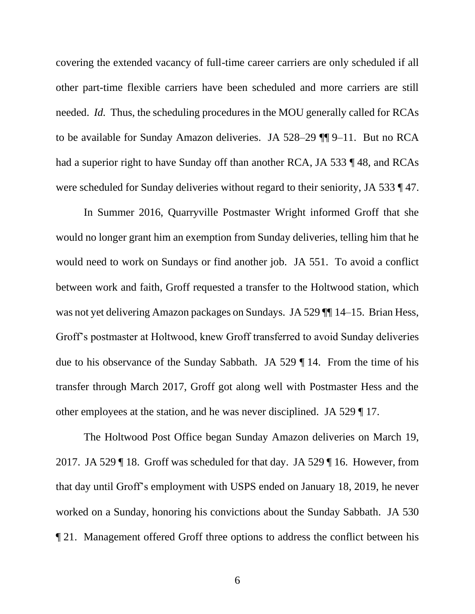covering the extended vacancy of full-time career carriers are only scheduled if all other part-time flexible carriers have been scheduled and more carriers are still needed. *Id.* Thus, the scheduling procedures in the MOU generally called for RCAs to be available for Sunday Amazon deliveries. JA 528–29 ¶¶ 9–11. But no RCA had a superior right to have Sunday off than another RCA, JA 533 ¶ 48, and RCAs were scheduled for Sunday deliveries without regard to their seniority, JA 533 ¶ 47.

In Summer 2016, Quarryville Postmaster Wright informed Groff that she would no longer grant him an exemption from Sunday deliveries, telling him that he would need to work on Sundays or find another job. JA 551. To avoid a conflict between work and faith, Groff requested a transfer to the Holtwood station, which was not yet delivering Amazon packages on Sundays. JA 529 [[14-15. Brian Hess, Groff's postmaster at Holtwood, knew Groff transferred to avoid Sunday deliveries due to his observance of the Sunday Sabbath. JA 529 ¶ 14. From the time of his transfer through March 2017, Groff got along well with Postmaster Hess and the other employees at the station, and he was never disciplined. JA 529 ¶ 17.

The Holtwood Post Office began Sunday Amazon deliveries on March 19, 2017. JA 529 ¶ 18. Groff was scheduled for that day. JA 529 ¶ 16. However, from that day until Groff's employment with USPS ended on January 18, 2019, he never worked on a Sunday, honoring his convictions about the Sunday Sabbath. JA 530 ¶ 21. Management offered Groff three options to address the conflict between his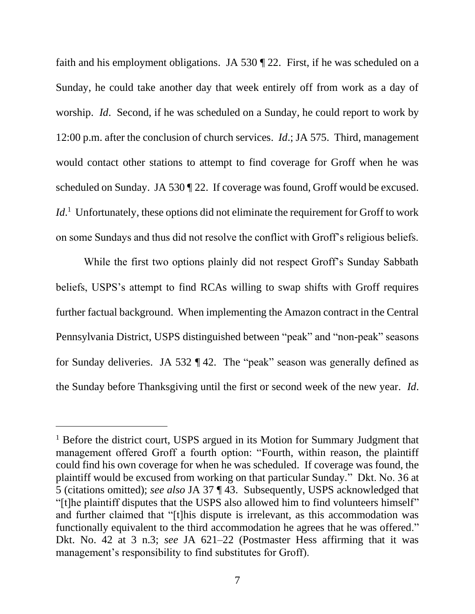faith and his employment obligations. JA 530 ¶ 22. First, if he was scheduled on a Sunday, he could take another day that week entirely off from work as a day of worship. *Id*. Second, if he was scheduled on a Sunday, he could report to work by 12:00 p.m. after the conclusion of church services. *Id*.; JA 575. Third, management would contact other stations to attempt to find coverage for Groff when he was scheduled on Sunday. JA 530 ¶ 22. If coverage was found, Groff would be excused. Id.<sup>1</sup> Unfortunately, these options did not eliminate the requirement for Groff to work on some Sundays and thus did not resolve the conflict with Groff's religious beliefs.

While the first two options plainly did not respect Groff's Sunday Sabbath beliefs, USPS's attempt to find RCAs willing to swap shifts with Groff requires further factual background. When implementing the Amazon contract in the Central Pennsylvania District, USPS distinguished between "peak" and "non-peak" seasons for Sunday deliveries. JA 532 ¶ 42. The "peak" season was generally defined as the Sunday before Thanksgiving until the first or second week of the new year. *Id*.

<sup>&</sup>lt;sup>1</sup> Before the district court, USPS argued in its Motion for Summary Judgment that management offered Groff a fourth option: "Fourth, within reason, the plaintiff could find his own coverage for when he was scheduled. If coverage was found, the plaintiff would be excused from working on that particular Sunday." Dkt. No. 36 at 5 (citations omitted); *see also* JA 37 ¶ 43. Subsequently, USPS acknowledged that "[t]he plaintiff disputes that the USPS also allowed him to find volunteers himself" and further claimed that "[t]his dispute is irrelevant, as this accommodation was functionally equivalent to the third accommodation he agrees that he was offered." Dkt. No. 42 at 3 n.3; *see* JA 621–22 (Postmaster Hess affirming that it was management's responsibility to find substitutes for Groff).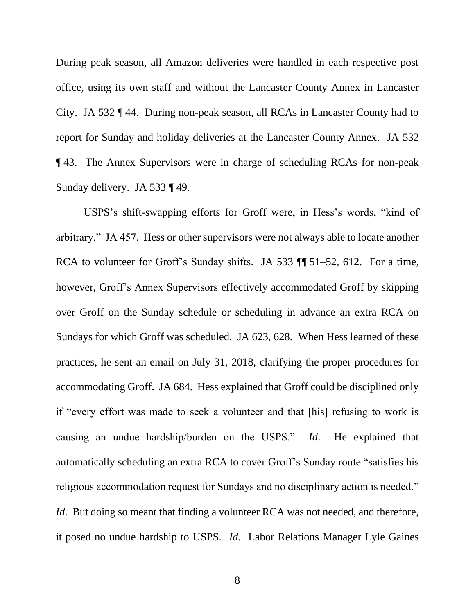During peak season, all Amazon deliveries were handled in each respective post office, using its own staff and without the Lancaster County Annex in Lancaster City. JA 532 ¶ 44. During non-peak season, all RCAs in Lancaster County had to report for Sunday and holiday deliveries at the Lancaster County Annex. JA 532 ¶ 43. The Annex Supervisors were in charge of scheduling RCAs for non-peak Sunday delivery. JA 533 ¶ 49.

USPS's shift-swapping efforts for Groff were, in Hess's words, "kind of arbitrary." JA 457. Hess or other supervisors were not always able to locate another RCA to volunteer for Groff's Sunday shifts. JA 533  $\P$  51–52, 612. For a time, however, Groff's Annex Supervisors effectively accommodated Groff by skipping over Groff on the Sunday schedule or scheduling in advance an extra RCA on Sundays for which Groff was scheduled. JA 623, 628. When Hess learned of these practices, he sent an email on July 31, 2018, clarifying the proper procedures for accommodating Groff. JA 684. Hess explained that Groff could be disciplined only if "every effort was made to seek a volunteer and that [his] refusing to work is causing an undue hardship/burden on the USPS." *Id*. He explained that automatically scheduling an extra RCA to cover Groff's Sunday route "satisfies his religious accommodation request for Sundays and no disciplinary action is needed." *Id.* But doing so meant that finding a volunteer RCA was not needed, and therefore, it posed no undue hardship to USPS. *Id*. Labor Relations Manager Lyle Gaines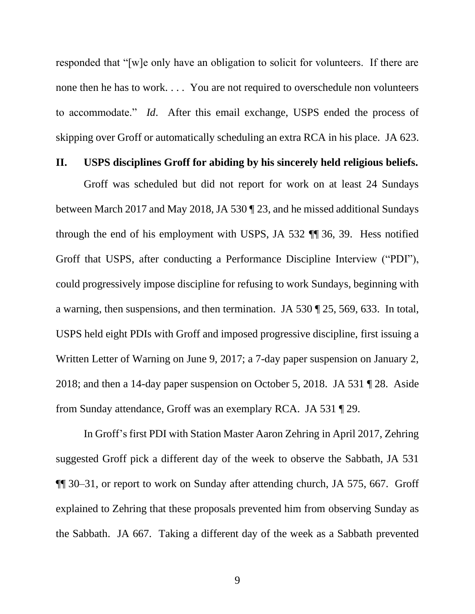responded that "[w]e only have an obligation to solicit for volunteers. If there are none then he has to work. . . . You are not required to overschedule non volunteers to accommodate." *Id*. After this email exchange, USPS ended the process of skipping over Groff or automatically scheduling an extra RCA in his place. JA 623.

### **II. USPS disciplines Groff for abiding by his sincerely held religious beliefs.**

Groff was scheduled but did not report for work on at least 24 Sundays between March 2017 and May 2018, JA 530 ¶ 23, and he missed additional Sundays through the end of his employment with USPS, JA 532 ¶¶ 36, 39. Hess notified Groff that USPS, after conducting a Performance Discipline Interview ("PDI"), could progressively impose discipline for refusing to work Sundays, beginning with a warning, then suspensions, and then termination. JA 530 ¶ 25, 569, 633. In total, USPS held eight PDIs with Groff and imposed progressive discipline, first issuing a Written Letter of Warning on June 9, 2017; a 7-day paper suspension on January 2, 2018; and then a 14-day paper suspension on October 5, 2018. JA 531 ¶ 28. Aside from Sunday attendance, Groff was an exemplary RCA. JA 531 ¶ 29.

In Groff's first PDI with Station Master Aaron Zehring in April 2017, Zehring suggested Groff pick a different day of the week to observe the Sabbath, JA 531 ¶¶ 30–31, or report to work on Sunday after attending church, JA 575, 667. Groff explained to Zehring that these proposals prevented him from observing Sunday as the Sabbath. JA 667. Taking a different day of the week as a Sabbath prevented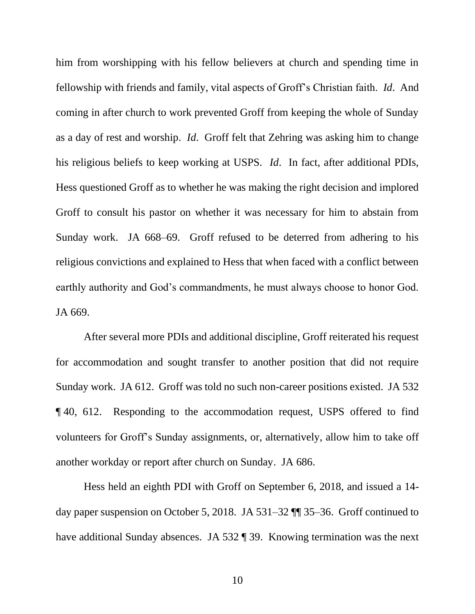him from worshipping with his fellow believers at church and spending time in fellowship with friends and family, vital aspects of Groff's Christian faith. *Id*. And coming in after church to work prevented Groff from keeping the whole of Sunday as a day of rest and worship. *Id*. Groff felt that Zehring was asking him to change his religious beliefs to keep working at USPS. *Id*. In fact, after additional PDIs, Hess questioned Groff as to whether he was making the right decision and implored Groff to consult his pastor on whether it was necessary for him to abstain from Sunday work. JA 668–69. Groff refused to be deterred from adhering to his religious convictions and explained to Hess that when faced with a conflict between earthly authority and God's commandments, he must always choose to honor God. JA 669.

After several more PDIs and additional discipline, Groff reiterated his request for accommodation and sought transfer to another position that did not require Sunday work. JA 612. Groff was told no such non-career positions existed. JA 532 ¶ 40, 612. Responding to the accommodation request, USPS offered to find volunteers for Groff's Sunday assignments, or, alternatively, allow him to take off another workday or report after church on Sunday. JA 686.

Hess held an eighth PDI with Groff on September 6, 2018, and issued a 14 day paper suspension on October 5, 2018. JA 531–32 ¶¶ 35–36. Groff continued to have additional Sunday absences. JA 532 ¶ 39. Knowing termination was the next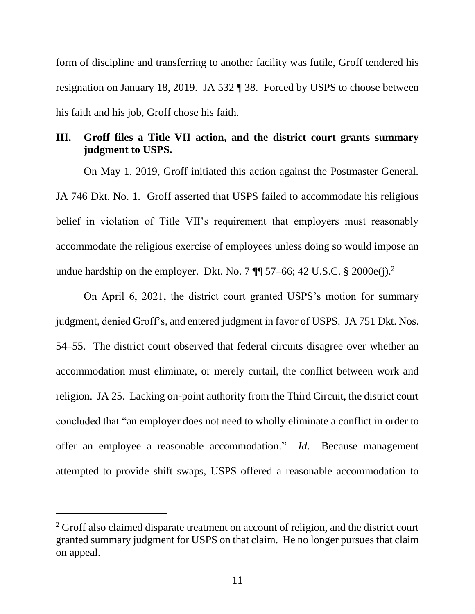form of discipline and transferring to another facility was futile, Groff tendered his resignation on January 18, 2019. JA 532 ¶ 38. Forced by USPS to choose between his faith and his job, Groff chose his faith.

# **III. Groff files a Title VII action, and the district court grants summary judgment to USPS.**

On May 1, 2019, Groff initiated this action against the Postmaster General. JA 746 Dkt. No. 1. Groff asserted that USPS failed to accommodate his religious belief in violation of Title VII's requirement that employers must reasonably accommodate the religious exercise of employees unless doing so would impose an undue hardship on the employer. Dkt. No. 7  $\P$  57–66; 42 U.S.C. § 2000e(j).<sup>2</sup>

On April 6, 2021, the district court granted USPS's motion for summary judgment, denied Groff's, and entered judgment in favor of USPS. JA 751 Dkt. Nos. 54–55. The district court observed that federal circuits disagree over whether an accommodation must eliminate, or merely curtail, the conflict between work and religion. JA 25. Lacking on-point authority from the Third Circuit, the district court concluded that "an employer does not need to wholly eliminate a conflict in order to offer an employee a reasonable accommodation." *Id*. Because management attempted to provide shift swaps, USPS offered a reasonable accommodation to

<sup>&</sup>lt;sup>2</sup> Groff also claimed disparate treatment on account of religion, and the district court granted summary judgment for USPS on that claim. He no longer pursues that claim on appeal.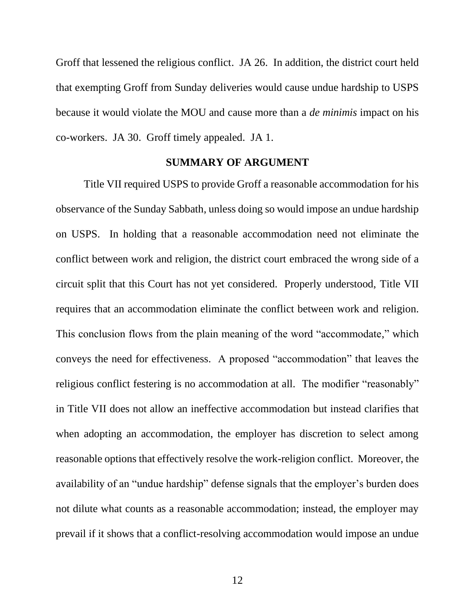Groff that lessened the religious conflict. JA 26. In addition, the district court held that exempting Groff from Sunday deliveries would cause undue hardship to USPS because it would violate the MOU and cause more than a *de minimis* impact on his co-workers. JA 30. Groff timely appealed. JA 1.

#### **SUMMARY OF ARGUMENT**

Title VII required USPS to provide Groff a reasonable accommodation for his observance of the Sunday Sabbath, unless doing so would impose an undue hardship on USPS. In holding that a reasonable accommodation need not eliminate the conflict between work and religion, the district court embraced the wrong side of a circuit split that this Court has not yet considered. Properly understood, Title VII requires that an accommodation eliminate the conflict between work and religion. This conclusion flows from the plain meaning of the word "accommodate," which conveys the need for effectiveness. A proposed "accommodation" that leaves the religious conflict festering is no accommodation at all. The modifier "reasonably" in Title VII does not allow an ineffective accommodation but instead clarifies that when adopting an accommodation, the employer has discretion to select among reasonable options that effectively resolve the work-religion conflict. Moreover, the availability of an "undue hardship" defense signals that the employer's burden does not dilute what counts as a reasonable accommodation; instead, the employer may prevail if it shows that a conflict-resolving accommodation would impose an undue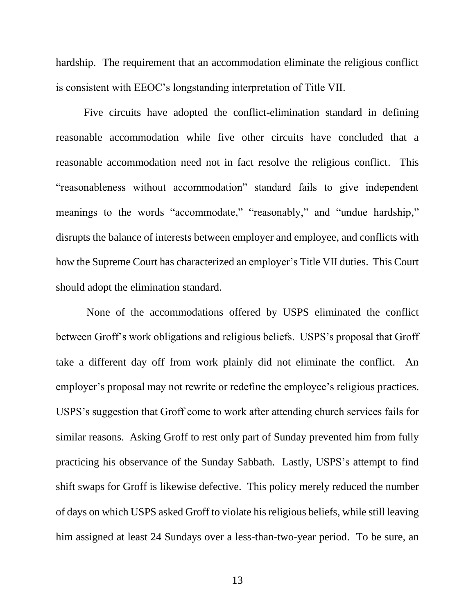hardship. The requirement that an accommodation eliminate the religious conflict is consistent with EEOC's longstanding interpretation of Title VII.

Five circuits have adopted the conflict-elimination standard in defining reasonable accommodation while five other circuits have concluded that a reasonable accommodation need not in fact resolve the religious conflict. This "reasonableness without accommodation" standard fails to give independent meanings to the words "accommodate," "reasonably," and "undue hardship," disrupts the balance of interests between employer and employee, and conflicts with how the Supreme Court has characterized an employer's Title VII duties. This Court should adopt the elimination standard.

None of the accommodations offered by USPS eliminated the conflict between Groff's work obligations and religious beliefs. USPS's proposal that Groff take a different day off from work plainly did not eliminate the conflict. An employer's proposal may not rewrite or redefine the employee's religious practices. USPS's suggestion that Groff come to work after attending church services fails for similar reasons. Asking Groff to rest only part of Sunday prevented him from fully practicing his observance of the Sunday Sabbath. Lastly, USPS's attempt to find shift swaps for Groff is likewise defective. This policy merely reduced the number of days on which USPS asked Groff to violate his religious beliefs, while still leaving him assigned at least 24 Sundays over a less-than-two-year period. To be sure, an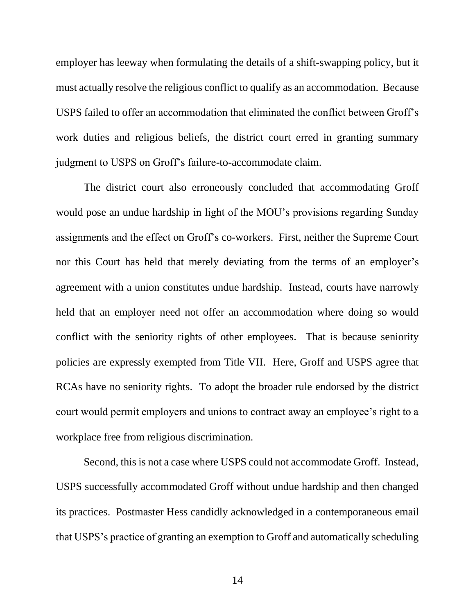employer has leeway when formulating the details of a shift-swapping policy, but it must actually resolve the religious conflict to qualify as an accommodation. Because USPS failed to offer an accommodation that eliminated the conflict between Groff's work duties and religious beliefs, the district court erred in granting summary judgment to USPS on Groff's failure-to-accommodate claim.

The district court also erroneously concluded that accommodating Groff would pose an undue hardship in light of the MOU's provisions regarding Sunday assignments and the effect on Groff's co-workers. First, neither the Supreme Court nor this Court has held that merely deviating from the terms of an employer's agreement with a union constitutes undue hardship. Instead, courts have narrowly held that an employer need not offer an accommodation where doing so would conflict with the seniority rights of other employees. That is because seniority policies are expressly exempted from Title VII. Here, Groff and USPS agree that RCAs have no seniority rights. To adopt the broader rule endorsed by the district court would permit employers and unions to contract away an employee's right to a workplace free from religious discrimination.

Second, this is not a case where USPS could not accommodate Groff. Instead, USPS successfully accommodated Groff without undue hardship and then changed its practices. Postmaster Hess candidly acknowledged in a contemporaneous email that USPS's practice of granting an exemption to Groff and automatically scheduling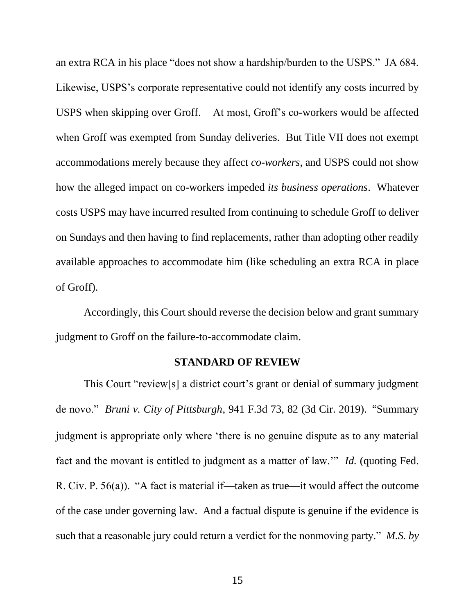an extra RCA in his place "does not show a hardship/burden to the USPS." JA 684. Likewise, USPS's corporate representative could not identify any costs incurred by USPS when skipping over Groff. At most, Groff's co-workers would be affected when Groff was exempted from Sunday deliveries. But Title VII does not exempt accommodations merely because they affect *co-workers*, and USPS could not show how the alleged impact on co-workers impeded *its business operations*. Whatever costs USPS may have incurred resulted from continuing to schedule Groff to deliver on Sundays and then having to find replacements, rather than adopting other readily available approaches to accommodate him (like scheduling an extra RCA in place of Groff).

Accordingly, this Court should reverse the decision below and grant summary judgment to Groff on the failure-to-accommodate claim.

### **STANDARD OF REVIEW**

This Court "review[s] a district court's grant or denial of summary judgment de novo." *Bruni v. City of Pittsburgh*, 941 F.3d 73, 82 (3d Cir. 2019). "Summary judgment is appropriate only where 'there is no genuine dispute as to any material fact and the movant is entitled to judgment as a matter of law.'" *Id.* (quoting Fed. R. Civ. P. 56(a)). "A fact is material if—taken as true—it would affect the outcome of the case under governing law. And a factual dispute is genuine if the evidence is such that a reasonable jury could return a verdict for the nonmoving party." *M.S. by*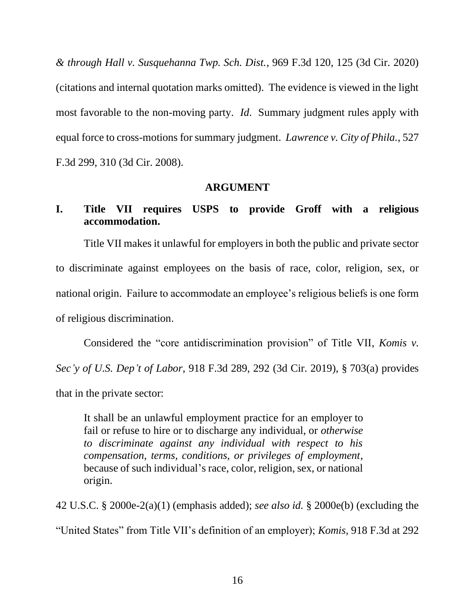*& through Hall v. Susquehanna Twp. Sch. Dist.*, 969 F.3d 120, 125 (3d Cir. 2020) (citations and internal quotation marks omitted). The evidence is viewed in the light most favorable to the non-moving party. *Id*. Summary judgment rules apply with equal force to cross-motions for summary judgment. *Lawrence v. City of Phila.*, 527 F.3d 299, 310 (3d Cir. 2008).

## **ARGUMENT**

# **I. Title VII requires USPS to provide Groff with a religious accommodation.**

Title VII makes it unlawful for employers in both the public and private sector to discriminate against employees on the basis of race, color, religion, sex, or national origin. Failure to accommodate an employee's religious beliefs is one form of religious discrimination.

Considered the "core antidiscrimination provision" of Title VII, *Komis v. Sec'y of U.S. Dep't of Labor*, 918 F.3d 289, 292 (3d Cir. 2019), § 703(a) provides that in the private sector:

It shall be an unlawful employment practice for an employer to fail or refuse to hire or to discharge any individual, or *otherwise to discriminate against any individual with respect to his compensation, terms, conditions, or privileges of employment*, because of such individual's race, color, religion, sex, or national origin.

42 U.S.C. § 2000e-2(a)(1) (emphasis added); *see also id.* § 2000e(b) (excluding the "United States" from Title VII's definition of an employer); *Komis*, 918 F.3d at 292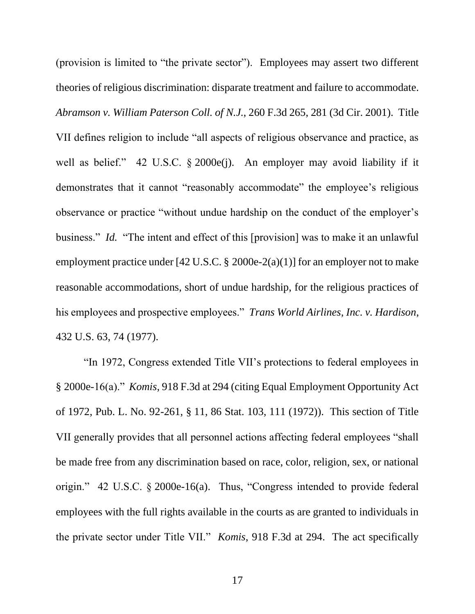(provision is limited to "the private sector"). Employees may assert two different theories of religious discrimination: disparate treatment and failure to accommodate. *Abramson v. William Paterson Coll. of N.J.*, 260 F.3d 265, 281 (3d Cir. 2001). Title VII defines religion to include "all aspects of religious observance and practice, as well as belief." 42 U.S.C. § 2000e(j). An employer may avoid liability if it demonstrates that it cannot "reasonably accommodate" the employee's religious observance or practice "without undue hardship on the conduct of the employer's business." *Id.* "The intent and effect of this [provision] was to make it an unlawful employment practice under [42 U.S.C.  $\S$  2000e-2(a)(1)] for an employer not to make reasonable accommodations, short of undue hardship, for the religious practices of his employees and prospective employees." *Trans World Airlines, Inc. v. Hardison*, 432 U.S. 63, 74 (1977).

"In 1972, Congress extended Title VII's protections to federal employees in § 2000e-16(a)." *Komis*, 918 F.3d at 294 (citing Equal Employment Opportunity Act of 1972, Pub. L. No. 92-261, § 11, 86 Stat. 103, 111 (1972)). This section of Title VII generally provides that all personnel actions affecting federal employees "shall be made free from any discrimination based on race, color, religion, sex, or national origin." 42 U.S.C. § 2000e-16(a).Thus, "Congress intended to provide federal employees with the full rights available in the courts as are granted to individuals in the private sector under Title VII." *Komis*, 918 F.3d at 294. The act specifically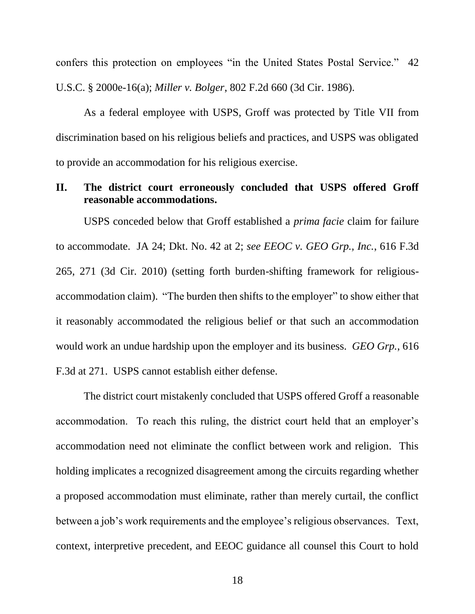confers this protection on employees "in the United States Postal Service." 42 U.S.C. § 2000e-16(a); *Miller v. Bolger*, 802 F.2d 660 (3d Cir. 1986).

As a federal employee with USPS, Groff was protected by Title VII from discrimination based on his religious beliefs and practices, and USPS was obligated to provide an accommodation for his religious exercise.

# **II. The district court erroneously concluded that USPS offered Groff reasonable accommodations.**

USPS conceded below that Groff established a *prima facie* claim for failure to accommodate. JA 24; Dkt. No. 42 at 2; *see EEOC v. GEO Grp., Inc.*, 616 F.3d 265, 271 (3d Cir. 2010) (setting forth burden-shifting framework for religiousaccommodation claim). "The burden then shifts to the employer" to show either that it reasonably accommodated the religious belief or that such an accommodation would work an undue hardship upon the employer and its business. *GEO Grp.*, 616 F.3d at 271. USPS cannot establish either defense.

The district court mistakenly concluded that USPS offered Groff a reasonable accommodation. To reach this ruling, the district court held that an employer's accommodation need not eliminate the conflict between work and religion. This holding implicates a recognized disagreement among the circuits regarding whether a proposed accommodation must eliminate, rather than merely curtail, the conflict between a job's work requirements and the employee's religious observances. Text, context, interpretive precedent, and EEOC guidance all counsel this Court to hold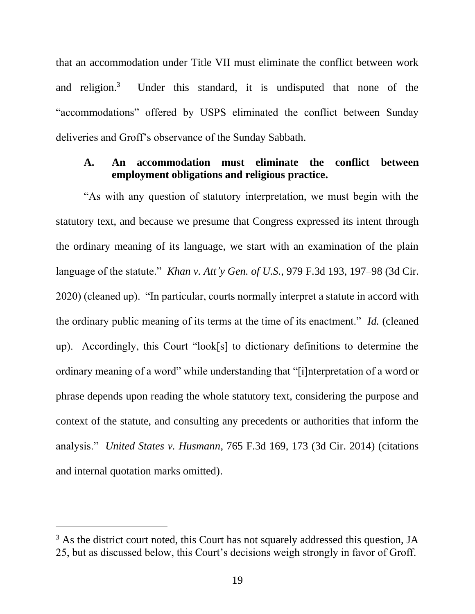that an accommodation under Title VII must eliminate the conflict between work and religion. $3$  Under this standard, it is undisputed that none of the "accommodations" offered by USPS eliminated the conflict between Sunday deliveries and Groff's observance of the Sunday Sabbath.

## **A. An accommodation must eliminate the conflict between employment obligations and religious practice.**

"As with any question of statutory interpretation, we must begin with the statutory text, and because we presume that Congress expressed its intent through the ordinary meaning of its language, we start with an examination of the plain language of the statute." *Khan v. Att'y Gen. of U.S.*, 979 F.3d 193, 197–98 (3d Cir. 2020) (cleaned up). "In particular, courts normally interpret a statute in accord with the ordinary public meaning of its terms at the time of its enactment." *Id.* (cleaned up). Accordingly, this Court "look[s] to dictionary definitions to determine the ordinary meaning of a word" while understanding that "[i]nterpretation of a word or phrase depends upon reading the whole statutory text, considering the purpose and context of the statute, and consulting any precedents or authorities that inform the analysis." *United States v. Husmann*, 765 F.3d 169, 173 (3d Cir. 2014) (citations and internal quotation marks omitted).

<sup>&</sup>lt;sup>3</sup> As the district court noted, this Court has not squarely addressed this question, JA 25, but as discussed below, this Court's decisions weigh strongly in favor of Groff.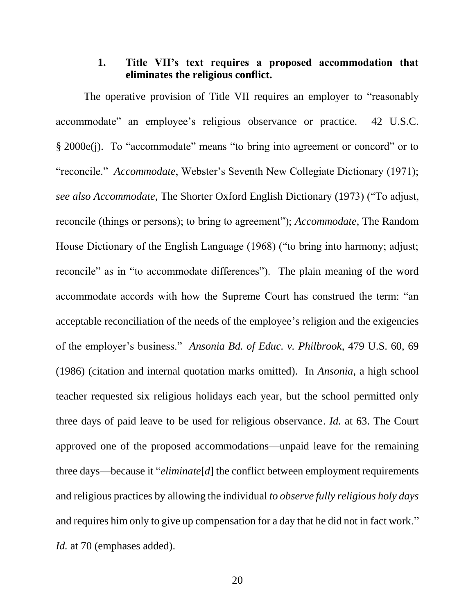# **1. Title VII's text requires a proposed accommodation that eliminates the religious conflict.**

The operative provision of Title VII requires an employer to "reasonably accommodate" an employee's religious observance or practice. 42 U.S.C. § 2000e(j). To "accommodate" means "to bring into agreement or concord" or to "reconcile." *Accommodate*, Webster's Seventh New Collegiate Dictionary (1971); *see also Accommodate*, The Shorter Oxford English Dictionary (1973) ("To adjust, reconcile (things or persons); to bring to agreement"); *Accommodate*, The Random House Dictionary of the English Language (1968) ("to bring into harmony; adjust; reconcile" as in "to accommodate differences"). The plain meaning of the word accommodate accords with how the Supreme Court has construed the term: "an acceptable reconciliation of the needs of the employee's religion and the exigencies of the employer's business." *Ansonia Bd. of Educ. v. Philbrook*, 479 U.S. 60, 69 (1986) (citation and internal quotation marks omitted). In *Ansonia,* a high school teacher requested six religious holidays each year, but the school permitted only three days of paid leave to be used for religious observance. *Id.* at 63. The Court approved one of the proposed accommodations—unpaid leave for the remaining three days—because it "*eliminate*[*d*] the conflict between employment requirements and religious practices by allowing the individual *to observe fully religious holy days* and requires him only to give up compensation for a day that he did not in fact work." *Id.* at 70 (emphases added).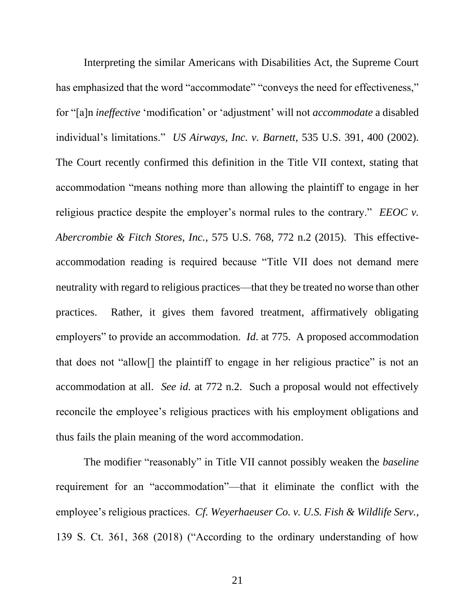Interpreting the similar Americans with Disabilities Act, the Supreme Court has emphasized that the word "accommodate" "conveys the need for effectiveness," for "[a]n *ineffective* 'modification' or 'adjustment' will not *accommodate* a disabled individual's limitations." *US Airways, Inc. v. Barnett*, 535 U.S. 391, 400 (2002). The Court recently confirmed this definition in the Title VII context, stating that accommodation "means nothing more than allowing the plaintiff to engage in her religious practice despite the employer's normal rules to the contrary." *EEOC v. Abercrombie & Fitch Stores, Inc.*, 575 U.S. 768, 772 n.2 (2015). This effectiveaccommodation reading is required because "Title VII does not demand mere neutrality with regard to religious practices—that they be treated no worse than other practices. Rather, it gives them favored treatment, affirmatively obligating employers" to provide an accommodation. *Id*. at 775. A proposed accommodation that does not "allow[] the plaintiff to engage in her religious practice" is not an accommodation at all. *See id.* at 772 n.2. Such a proposal would not effectively reconcile the employee's religious practices with his employment obligations and thus fails the plain meaning of the word accommodation.

The modifier "reasonably" in Title VII cannot possibly weaken the *baseline* requirement for an "accommodation"—that it eliminate the conflict with the employee's religious practices. *Cf. Weyerhaeuser Co. v. U.S. Fish & Wildlife Serv.*, 139 S. Ct. 361, 368 (2018) ("According to the ordinary understanding of how

21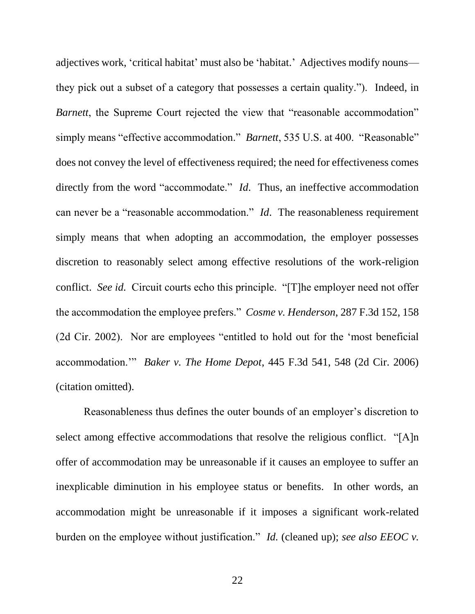adjectives work, 'critical habitat' must also be 'habitat.' Adjectives modify nouns they pick out a subset of a category that possesses a certain quality."). Indeed, in *Barnett*, the Supreme Court rejected the view that "reasonable accommodation" simply means "effective accommodation." *Barnett*, 535 U.S. at 400. "Reasonable" does not convey the level of effectiveness required; the need for effectiveness comes directly from the word "accommodate." *Id*. Thus, an ineffective accommodation can never be a "reasonable accommodation." *Id*. The reasonableness requirement simply means that when adopting an accommodation, the employer possesses discretion to reasonably select among effective resolutions of the work-religion conflict. *See id.* Circuit courts echo this principle. "[T]he employer need not offer the accommodation the employee prefers." *Cosme v. Henderson*, 287 F.3d 152, 158 (2d Cir. 2002). Nor are employees "entitled to hold out for the 'most beneficial accommodation.'" *Baker v. The Home Depot*, 445 F.3d 541, 548 (2d Cir. 2006) (citation omitted).

Reasonableness thus defines the outer bounds of an employer's discretion to select among effective accommodations that resolve the religious conflict. "[A]n offer of accommodation may be unreasonable if it causes an employee to suffer an inexplicable diminution in his employee status or benefits. In other words, an accommodation might be unreasonable if it imposes a significant work-related burden on the employee without justification." *Id.* (cleaned up); *see also EEOC v.*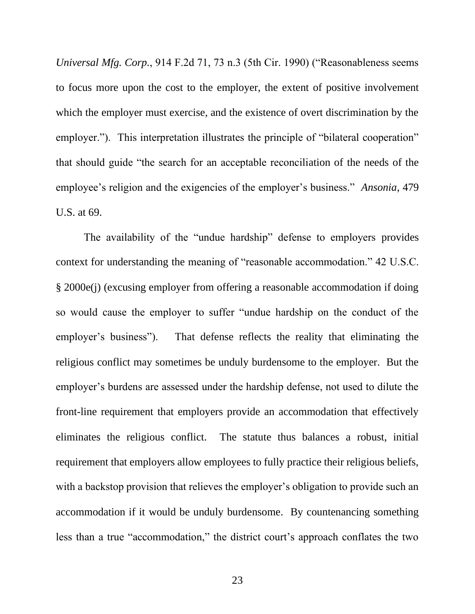*Universal Mfg. Corp.*, 914 F.2d 71, 73 n.3 (5th Cir. 1990) ("Reasonableness seems to focus more upon the cost to the employer, the extent of positive involvement which the employer must exercise, and the existence of overt discrimination by the employer."). This interpretation illustrates the principle of "bilateral cooperation" that should guide "the search for an acceptable reconciliation of the needs of the employee's religion and the exigencies of the employer's business." *Ansonia*, 479 U.S. at 69.

The availability of the "undue hardship" defense to employers provides context for understanding the meaning of "reasonable accommodation." 42 U.S.C. § 2000e(j) (excusing employer from offering a reasonable accommodation if doing so would cause the employer to suffer "undue hardship on the conduct of the employer's business"). That defense reflects the reality that eliminating the religious conflict may sometimes be unduly burdensome to the employer. But the employer's burdens are assessed under the hardship defense, not used to dilute the front-line requirement that employers provide an accommodation that effectively eliminates the religious conflict. The statute thus balances a robust, initial requirement that employers allow employees to fully practice their religious beliefs, with a backstop provision that relieves the employer's obligation to provide such an accommodation if it would be unduly burdensome. By countenancing something less than a true "accommodation," the district court's approach conflates the two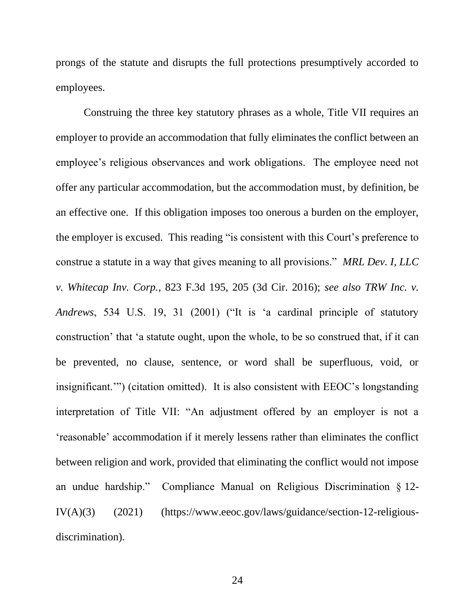prongs of the statute and disrupts the full protections presumptively accorded to employees.

Construing the three key statutory phrases as a whole, Title VII requires an employer to provide an accommodation that fully eliminates the conflict between an employee's religious observances and work obligations. The employee need not offer any particular accommodation, but the accommodation must, by definition, be an effective one. If this obligation imposes too onerous a burden on the employer, the employer is excused. This reading "is consistent with this Court's preference to construe a statute in a way that gives meaning to all provisions." *MRL Dev. I, LLC v. Whitecap Inv. Corp.*, 823 F.3d 195, 205 (3d Cir. 2016); *see also TRW Inc. v. Andrews*, 534 U.S. 19, 31 (2001) ("It is 'a cardinal principle of statutory construction' that 'a statute ought, upon the whole, to be so construed that, if it can be prevented, no clause, sentence, or word shall be superfluous, void, or insignificant.'") (citation omitted). It is also consistent with EEOC's longstanding interpretation of Title VII: "An adjustment offered by an employer is not a 'reasonable' accommodation if it merely lessens rather than eliminates the conflict between religion and work, provided that eliminating the conflict would not impose an undue hardship." Compliance Manual on Religious Discrimination § 12-  $IV(A)(3)$  (2021) (https://www.eeoc.gov/laws/guidance/section-12-religiousdiscrimination).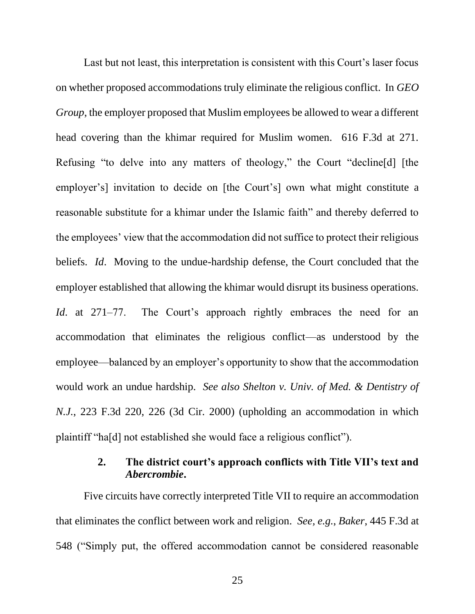Last but not least, this interpretation is consistent with this Court's laser focus on whether proposed accommodations truly eliminate the religious conflict. In *GEO Group*, the employer proposed that Muslim employees be allowed to wear a different head covering than the khimar required for Muslim women. 616 F.3d at 271. Refusing "to delve into any matters of theology," the Court "decline[d] [the employer's] invitation to decide on [the Court's] own what might constitute a reasonable substitute for a khimar under the Islamic faith" and thereby deferred to the employees' view that the accommodation did not suffice to protect their religious beliefs. *Id*. Moving to the undue-hardship defense, the Court concluded that the employer established that allowing the khimar would disrupt its business operations. *Id*. at 271–77. The Court's approach rightly embraces the need for an accommodation that eliminates the religious conflict—as understood by the employee—balanced by an employer's opportunity to show that the accommodation would work an undue hardship. *See also Shelton v. Univ. of Med. & Dentistry of N.J.*, 223 F.3d 220, 226 (3d Cir. 2000) (upholding an accommodation in which plaintiff "ha[d] not established she would face a religious conflict").

# **2. The district court's approach conflicts with Title VII's text and**  *Abercrombie***.**

Five circuits have correctly interpreted Title VII to require an accommodation that eliminates the conflict between work and religion. *See, e.g.*, *Baker*, 445 F.3d at 548 ("Simply put, the offered accommodation cannot be considered reasonable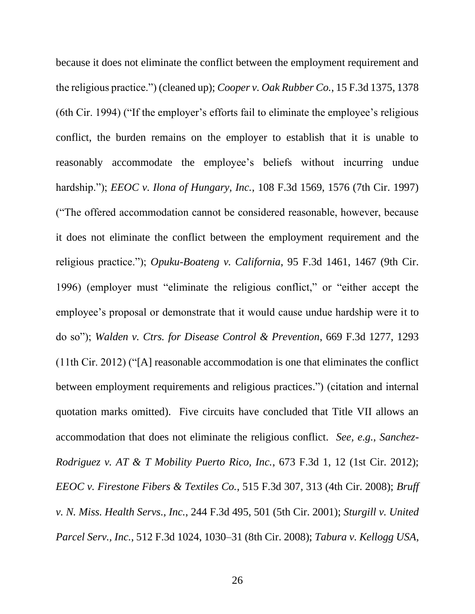because it does not eliminate the conflict between the employment requirement and the religious practice.") (cleaned up); *Cooper v. Oak Rubber Co.*, 15 F.3d 1375, 1378 (6th Cir. 1994) ("If the employer's efforts fail to eliminate the employee's religious conflict, the burden remains on the employer to establish that it is unable to reasonably accommodate the employee's beliefs without incurring undue hardship."); *EEOC v. Ilona of Hungary, Inc.*, 108 F.3d 1569, 1576 (7th Cir. 1997) ("The offered accommodation cannot be considered reasonable, however, because it does not eliminate the conflict between the employment requirement and the religious practice."); *Opuku-Boateng v. California*, 95 F.3d 1461, 1467 (9th Cir. 1996) (employer must "eliminate the religious conflict," or "either accept the employee's proposal or demonstrate that it would cause undue hardship were it to do so"); *Walden v. Ctrs. for Disease Control & Prevention*, 669 F.3d 1277, 1293 (11th Cir. 2012) ("[A] reasonable accommodation is one that eliminates the conflict between employment requirements and religious practices.") (citation and internal quotation marks omitted). Five circuits have concluded that Title VII allows an accommodation that does not eliminate the religious conflict. *See, e.g.*, *Sanchez-Rodriguez v. AT & T Mobility Puerto Rico, Inc.*, 673 F.3d 1, 12 (1st Cir. 2012); *EEOC v. Firestone Fibers & Textiles Co.*, 515 F.3d 307, 313 (4th Cir. 2008); *Bruff v. N. Miss. Health Servs., Inc.*, 244 F.3d 495, 501 (5th Cir. 2001); *Sturgill v. United Parcel Serv., Inc.*, 512 F.3d 1024, 1030–31 (8th Cir. 2008); *Tabura v. Kellogg USA*,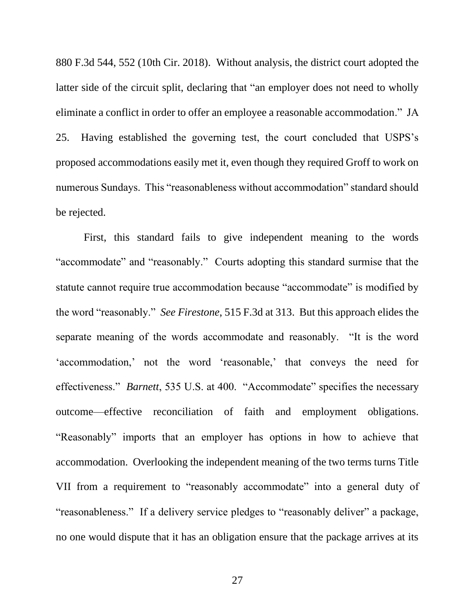880 F.3d 544, 552 (10th Cir. 2018). Without analysis, the district court adopted the latter side of the circuit split, declaring that "an employer does not need to wholly eliminate a conflict in order to offer an employee a reasonable accommodation." JA 25. Having established the governing test, the court concluded that USPS's proposed accommodations easily met it, even though they required Groff to work on numerous Sundays. This "reasonableness without accommodation" standard should be rejected.

First, this standard fails to give independent meaning to the words "accommodate" and "reasonably." Courts adopting this standard surmise that the statute cannot require true accommodation because "accommodate" is modified by the word "reasonably." *See Firestone*, 515 F.3d at 313. But this approach elides the separate meaning of the words accommodate and reasonably. "It is the word 'accommodation,' not the word 'reasonable,' that conveys the need for effectiveness." *Barnett*, 535 U.S. at 400. "Accommodate" specifies the necessary outcome—effective reconciliation of faith and employment obligations. "Reasonably" imports that an employer has options in how to achieve that accommodation. Overlooking the independent meaning of the two terms turns Title VII from a requirement to "reasonably accommodate" into a general duty of "reasonableness." If a delivery service pledges to "reasonably deliver" a package, no one would dispute that it has an obligation ensure that the package arrives at its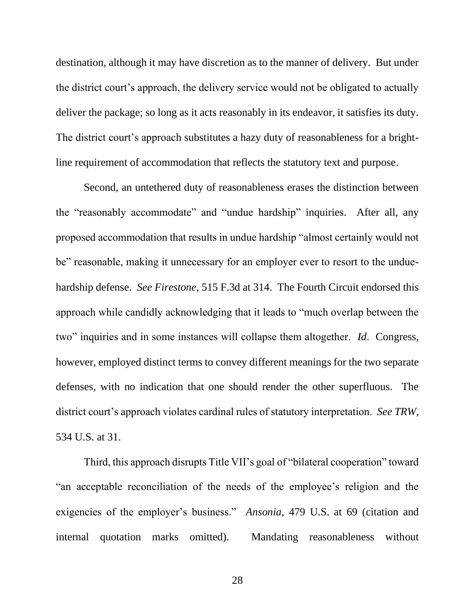destination, although it may have discretion as to the manner of delivery. But under the district court's approach, the delivery service would not be obligated to actually deliver the package; so long as it acts reasonably in its endeavor, it satisfies its duty. The district court's approach substitutes a hazy duty of reasonableness for a brightline requirement of accommodation that reflects the statutory text and purpose.

Second, an untethered duty of reasonableness erases the distinction between the "reasonably accommodate" and "undue hardship" inquiries. After all, any proposed accommodation that results in undue hardship "almost certainly would not be" reasonable, making it unnecessary for an employer ever to resort to the unduehardship defense. *See Firestone*, 515 F.3d at 314. The Fourth Circuit endorsed this approach while candidly acknowledging that it leads to "much overlap between the two" inquiries and in some instances will collapse them altogether. *Id*. Congress, however, employed distinct terms to convey different meanings for the two separate defenses, with no indication that one should render the other superfluous. The district court's approach violates cardinal rules of statutory interpretation. *See TRW*, 534 U.S. at 31.

Third, this approach disrupts Title VII's goal of "bilateral cooperation" toward "an acceptable reconciliation of the needs of the employee's religion and the exigencies of the employer's business." *Ansonia*, 479 U.S. at 69 (citation and internal quotation marks omitted). Mandating reasonableness without

28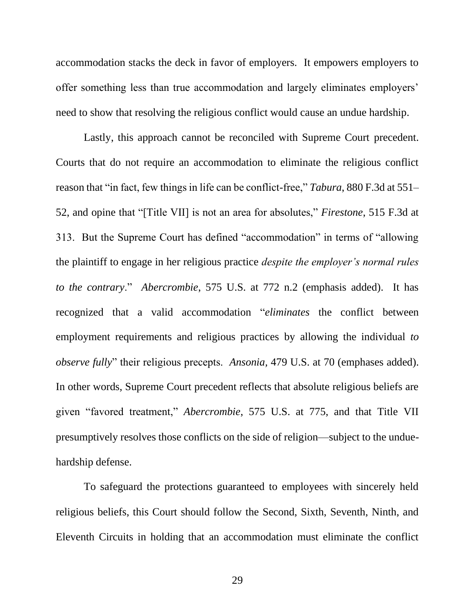accommodation stacks the deck in favor of employers. It empowers employers to offer something less than true accommodation and largely eliminates employers' need to show that resolving the religious conflict would cause an undue hardship.

Lastly, this approach cannot be reconciled with Supreme Court precedent. Courts that do not require an accommodation to eliminate the religious conflict reason that "in fact, few things in life can be conflict-free," *Tabura*, 880 F.3d at 551– 52, and opine that "[Title VII] is not an area for absolutes," *Firestone*, 515 F.3d at 313. But the Supreme Court has defined "accommodation" in terms of "allowing the plaintiff to engage in her religious practice *despite the employer's normal rules to the contrary*." *Abercrombie*, 575 U.S. at 772 n.2 (emphasis added). It has recognized that a valid accommodation "*eliminates* the conflict between employment requirements and religious practices by allowing the individual *to observe fully*" their religious precepts. *Ansonia,* 479 U.S. at 70 (emphases added). In other words, Supreme Court precedent reflects that absolute religious beliefs are given "favored treatment," *Abercrombie*, 575 U.S. at 775, and that Title VII presumptively resolves those conflicts on the side of religion—subject to the unduehardship defense.

To safeguard the protections guaranteed to employees with sincerely held religious beliefs, this Court should follow the Second, Sixth, Seventh, Ninth, and Eleventh Circuits in holding that an accommodation must eliminate the conflict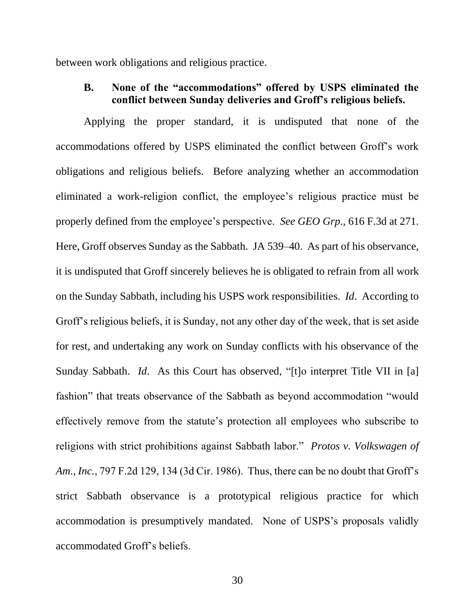between work obligations and religious practice.

## **B. None of the "accommodations" offered by USPS eliminated the conflict between Sunday deliveries and Groff's religious beliefs.**

Applying the proper standard, it is undisputed that none of the accommodations offered by USPS eliminated the conflict between Groff's work obligations and religious beliefs. Before analyzing whether an accommodation eliminated a work-religion conflict, the employee's religious practice must be properly defined from the employee's perspective. *See GEO Grp.*, 616 F.3d at 271. Here, Groff observes Sunday as the Sabbath. JA 539–40. As part of his observance, it is undisputed that Groff sincerely believes he is obligated to refrain from all work on the Sunday Sabbath, including his USPS work responsibilities. *Id*. According to Groff's religious beliefs, it is Sunday, not any other day of the week, that is set aside for rest, and undertaking any work on Sunday conflicts with his observance of the Sunday Sabbath. *Id*. As this Court has observed, "[t]o interpret Title VII in [a] fashion" that treats observance of the Sabbath as beyond accommodation "would effectively remove from the statute's protection all employees who subscribe to religions with strict prohibitions against Sabbath labor." *Protos v. Volkswagen of Am., Inc.*, 797 F.2d 129, 134 (3d Cir. 1986). Thus, there can be no doubt that Groff's strict Sabbath observance is a prototypical religious practice for which accommodation is presumptively mandated. None of USPS's proposals validly accommodated Groff's beliefs.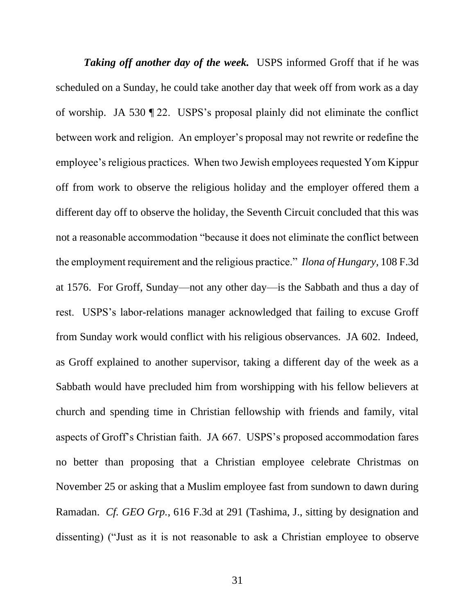**Taking off another day of the week.** USPS informed Groff that if he was scheduled on a Sunday, he could take another day that week off from work as a day of worship. JA 530 ¶ 22. USPS's proposal plainly did not eliminate the conflict between work and religion. An employer's proposal may not rewrite or redefine the employee's religious practices. When two Jewish employees requested Yom Kippur off from work to observe the religious holiday and the employer offered them a different day off to observe the holiday, the Seventh Circuit concluded that this was not a reasonable accommodation "because it does not eliminate the conflict between the employment requirement and the religious practice." *Ilona of Hungary*, 108 F.3d at 1576. For Groff, Sunday—not any other day—is the Sabbath and thus a day of rest. USPS's labor-relations manager acknowledged that failing to excuse Groff from Sunday work would conflict with his religious observances. JA 602. Indeed, as Groff explained to another supervisor, taking a different day of the week as a Sabbath would have precluded him from worshipping with his fellow believers at church and spending time in Christian fellowship with friends and family, vital aspects of Groff's Christian faith. JA 667. USPS's proposed accommodation fares no better than proposing that a Christian employee celebrate Christmas on November 25 or asking that a Muslim employee fast from sundown to dawn during Ramadan. *Cf. GEO Grp.*, 616 F.3d at 291 (Tashima, J., sitting by designation and dissenting) ("Just as it is not reasonable to ask a Christian employee to observe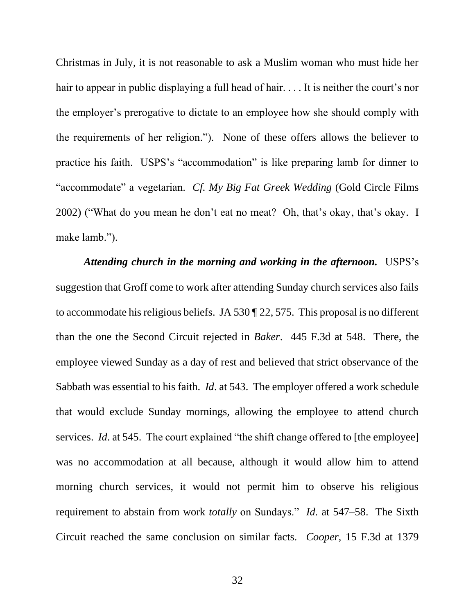Christmas in July, it is not reasonable to ask a Muslim woman who must hide her hair to appear in public displaying a full head of hair. . . . It is neither the court's nor the employer's prerogative to dictate to an employee how she should comply with the requirements of her religion."). None of these offers allows the believer to practice his faith. USPS's "accommodation" is like preparing lamb for dinner to "accommodate" a vegetarian. *Cf. My Big Fat Greek Wedding* (Gold Circle Films 2002) ("What do you mean he don't eat no meat? Oh, that's okay, that's okay. I make lamb.").

*Attending church in the morning and working in the afternoon.*USPS's suggestion that Groff come to work after attending Sunday church services also fails to accommodate his religious beliefs. JA 530 ¶ 22, 575. This proposal is no different than the one the Second Circuit rejected in *Baker*. 445 F.3d at 548. There, the employee viewed Sunday as a day of rest and believed that strict observance of the Sabbath was essential to his faith. *Id*. at 543. The employer offered a work schedule that would exclude Sunday mornings, allowing the employee to attend church services. *Id.* at 545. The court explained "the shift change offered to [the employee] was no accommodation at all because, although it would allow him to attend morning church services, it would not permit him to observe his religious requirement to abstain from work *totally* on Sundays." *Id.* at 547–58. The Sixth Circuit reached the same conclusion on similar facts. *Cooper*, 15 F.3d at 1379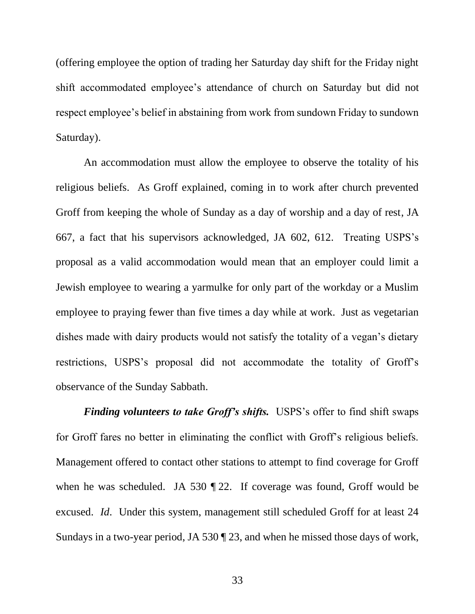(offering employee the option of trading her Saturday day shift for the Friday night shift accommodated employee's attendance of church on Saturday but did not respect employee's belief in abstaining from work from sundown Friday to sundown Saturday).

An accommodation must allow the employee to observe the totality of his religious beliefs. As Groff explained, coming in to work after church prevented Groff from keeping the whole of Sunday as a day of worship and a day of rest, JA 667, a fact that his supervisors acknowledged, JA 602, 612. Treating USPS's proposal as a valid accommodation would mean that an employer could limit a Jewish employee to wearing a yarmulke for only part of the workday or a Muslim employee to praying fewer than five times a day while at work. Just as vegetarian dishes made with dairy products would not satisfy the totality of a vegan's dietary restrictions, USPS's proposal did not accommodate the totality of Groff's observance of the Sunday Sabbath.

*Finding volunteers to take Groff's shifts.* USPS's offer to find shift swaps for Groff fares no better in eliminating the conflict with Groff's religious beliefs. Management offered to contact other stations to attempt to find coverage for Groff when he was scheduled. JA 530 ¶ 22. If coverage was found, Groff would be excused. *Id*. Under this system, management still scheduled Groff for at least 24 Sundays in a two-year period, JA 530 ¶ 23, and when he missed those days of work,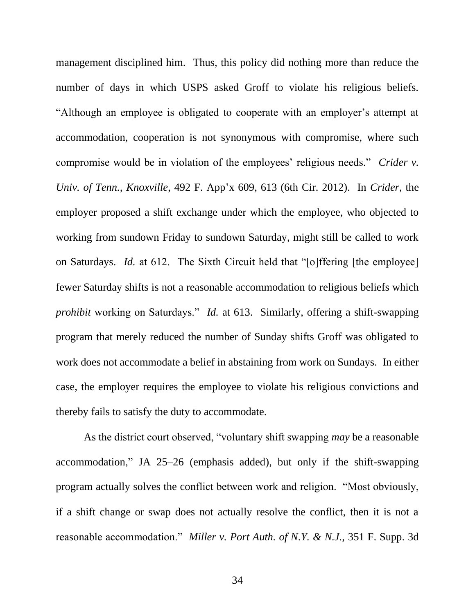management disciplined him. Thus, this policy did nothing more than reduce the number of days in which USPS asked Groff to violate his religious beliefs. "Although an employee is obligated to cooperate with an employer's attempt at accommodation, cooperation is not synonymous with compromise, where such compromise would be in violation of the employees' religious needs." *Crider v. Univ. of Tenn., Knoxville*, 492 F. App'x 609, 613 (6th Cir. 2012). In *Crider*, the employer proposed a shift exchange under which the employee, who objected to working from sundown Friday to sundown Saturday, might still be called to work on Saturdays. *Id.* at 612. The Sixth Circuit held that "[o]ffering [the employee] fewer Saturday shifts is not a reasonable accommodation to religious beliefs which *prohibit* working on Saturdays." *Id.* at 613. Similarly, offering a shift-swapping program that merely reduced the number of Sunday shifts Groff was obligated to work does not accommodate a belief in abstaining from work on Sundays. In either case, the employer requires the employee to violate his religious convictions and thereby fails to satisfy the duty to accommodate.

As the district court observed, "voluntary shift swapping *may* be a reasonable accommodation," JA 25–26 (emphasis added), but only if the shift-swapping program actually solves the conflict between work and religion. "Most obviously, if a shift change or swap does not actually resolve the conflict, then it is not a reasonable accommodation." *Miller v. Port Auth. of N.Y. & N.J.*, 351 F. Supp. 3d

34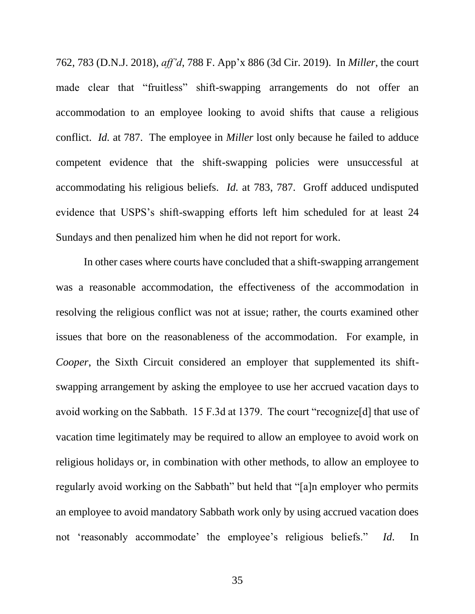762, 783 (D.N.J. 2018), *aff'd*, 788 F. App'x 886 (3d Cir. 2019). In *Miller*, the court made clear that "fruitless" shift-swapping arrangements do not offer an accommodation to an employee looking to avoid shifts that cause a religious conflict. *Id.* at 787. The employee in *Miller* lost only because he failed to adduce competent evidence that the shift-swapping policies were unsuccessful at accommodating his religious beliefs. *Id.* at 783, 787. Groff adduced undisputed evidence that USPS's shift-swapping efforts left him scheduled for at least 24 Sundays and then penalized him when he did not report for work.

In other cases where courts have concluded that a shift-swapping arrangement was a reasonable accommodation, the effectiveness of the accommodation in resolving the religious conflict was not at issue; rather, the courts examined other issues that bore on the reasonableness of the accommodation. For example, in *Cooper*, the Sixth Circuit considered an employer that supplemented its shiftswapping arrangement by asking the employee to use her accrued vacation days to avoid working on the Sabbath. 15 F.3d at 1379. The court "recognize[d] that use of vacation time legitimately may be required to allow an employee to avoid work on religious holidays or, in combination with other methods, to allow an employee to regularly avoid working on the Sabbath" but held that "[a]n employer who permits an employee to avoid mandatory Sabbath work only by using accrued vacation does not 'reasonably accommodate' the employee's religious beliefs." *Id*. In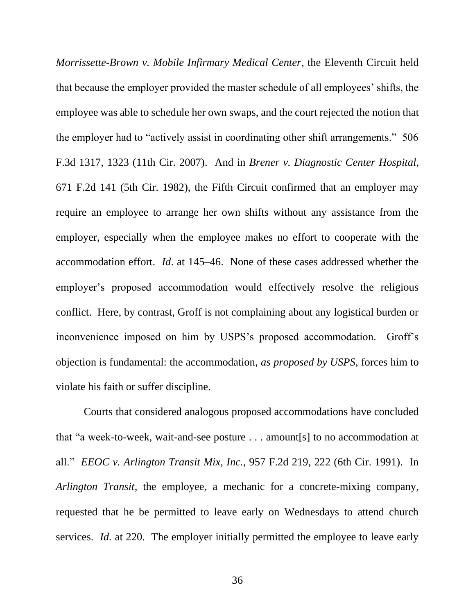*Morrissette-Brown v. Mobile Infirmary Medical Center*, the Eleventh Circuit held that because the employer provided the master schedule of all employees' shifts, the employee was able to schedule her own swaps, and the court rejected the notion that the employer had to "actively assist in coordinating other shift arrangements." 506 F.3d 1317, 1323 (11th Cir. 2007). And in *Brener v. Diagnostic Center Hospital*, 671 F.2d 141 (5th Cir. 1982), the Fifth Circuit confirmed that an employer may require an employee to arrange her own shifts without any assistance from the employer, especially when the employee makes no effort to cooperate with the accommodation effort. *Id*. at 145–46. None of these cases addressed whether the employer's proposed accommodation would effectively resolve the religious conflict. Here, by contrast, Groff is not complaining about any logistical burden or inconvenience imposed on him by USPS's proposed accommodation. Groff's objection is fundamental: the accommodation, *as proposed by USPS*, forces him to violate his faith or suffer discipline.

Courts that considered analogous proposed accommodations have concluded that "a week-to-week, wait-and-see posture . . . amount[s] to no accommodation at all." *EEOC v. Arlington Transit Mix, Inc.*, 957 F.2d 219, 222 (6th Cir. 1991). In *Arlington Transit*, the employee, a mechanic for a concrete-mixing company, requested that he be permitted to leave early on Wednesdays to attend church services. *Id.* at 220. The employer initially permitted the employee to leave early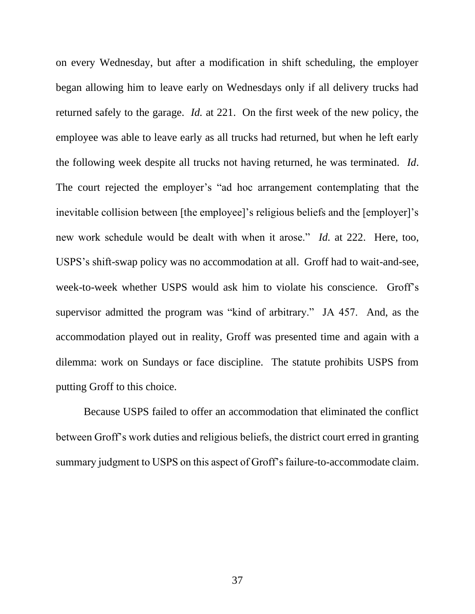on every Wednesday, but after a modification in shift scheduling, the employer began allowing him to leave early on Wednesdays only if all delivery trucks had returned safely to the garage. *Id.* at 221. On the first week of the new policy, the employee was able to leave early as all trucks had returned, but when he left early the following week despite all trucks not having returned, he was terminated. *Id*. The court rejected the employer's "ad hoc arrangement contemplating that the inevitable collision between [the employee]'s religious beliefs and the [employer]'s new work schedule would be dealt with when it arose." *Id.* at 222. Here, too, USPS's shift-swap policy was no accommodation at all. Groff had to wait-and-see, week-to-week whether USPS would ask him to violate his conscience. Groff's supervisor admitted the program was "kind of arbitrary." JA 457. And, as the accommodation played out in reality, Groff was presented time and again with a dilemma: work on Sundays or face discipline. The statute prohibits USPS from putting Groff to this choice.

Because USPS failed to offer an accommodation that eliminated the conflict between Groff's work duties and religious beliefs, the district court erred in granting summary judgment to USPS on this aspect of Groff's failure-to-accommodate claim.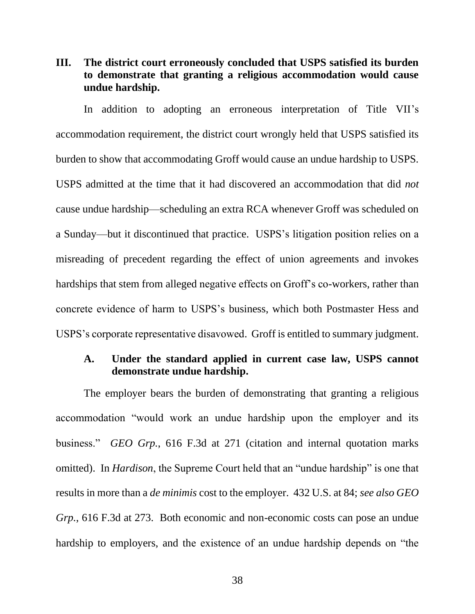# **III. The district court erroneously concluded that USPS satisfied its burden to demonstrate that granting a religious accommodation would cause undue hardship.**

In addition to adopting an erroneous interpretation of Title VII's accommodation requirement, the district court wrongly held that USPS satisfied its burden to show that accommodating Groff would cause an undue hardship to USPS. USPS admitted at the time that it had discovered an accommodation that did *not*  cause undue hardship—scheduling an extra RCA whenever Groff was scheduled on a Sunday—but it discontinued that practice. USPS's litigation position relies on a misreading of precedent regarding the effect of union agreements and invokes hardships that stem from alleged negative effects on Groff's co-workers, rather than concrete evidence of harm to USPS's business, which both Postmaster Hess and USPS's corporate representative disavowed. Groff is entitled to summary judgment.

# **A. Under the standard applied in current case law, USPS cannot demonstrate undue hardship.**

The employer bears the burden of demonstrating that granting a religious accommodation "would work an undue hardship upon the employer and its business." *GEO Grp.*, 616 F.3d at 271 (citation and internal quotation marks omitted). In *Hardison*, the Supreme Court held that an "undue hardship" is one that results in more than a *de minimis* cost to the employer. 432 U.S. at 84; *see also GEO Grp.*, 616 F.3d at 273. Both economic and non-economic costs can pose an undue hardship to employers, and the existence of an undue hardship depends on "the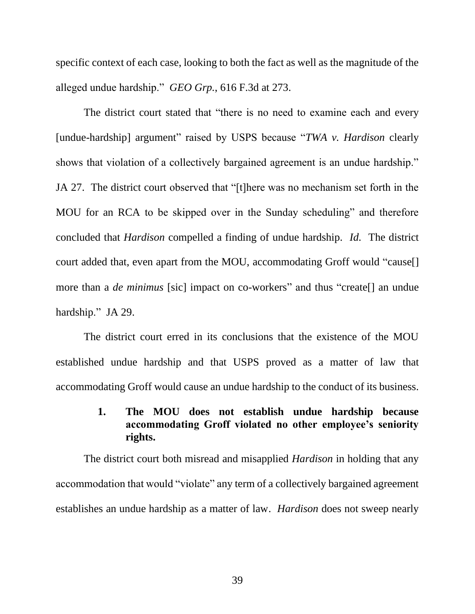specific context of each case, looking to both the fact as well as the magnitude of the alleged undue hardship." *GEO Grp.*, 616 F.3d at 273.

The district court stated that "there is no need to examine each and every [undue-hardship] argument" raised by USPS because "*TWA v. Hardison* clearly shows that violation of a collectively bargained agreement is an undue hardship." JA 27. The district court observed that "[t]here was no mechanism set forth in the MOU for an RCA to be skipped over in the Sunday scheduling" and therefore concluded that *Hardison* compelled a finding of undue hardship. *Id.* The district court added that, even apart from the MOU, accommodating Groff would "cause[] more than a *de minimus* [sic] impact on co-workers" and thus "create<sup>[]</sup> an undue hardship." JA 29.

The district court erred in its conclusions that the existence of the MOU established undue hardship and that USPS proved as a matter of law that accommodating Groff would cause an undue hardship to the conduct of its business.

# **1. The MOU does not establish undue hardship because accommodating Groff violated no other employee's seniority rights.**

The district court both misread and misapplied *Hardison* in holding that any accommodation that would "violate" any term of a collectively bargained agreement establishes an undue hardship as a matter of law. *Hardison* does not sweep nearly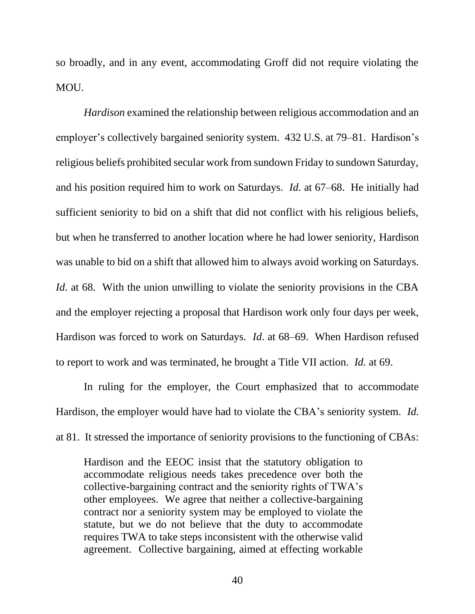so broadly, and in any event, accommodating Groff did not require violating the MOU.

*Hardison* examined the relationship between religious accommodation and an employer's collectively bargained seniority system. 432 U.S. at 79–81. Hardison's religious beliefs prohibited secular work from sundown Friday to sundown Saturday, and his position required him to work on Saturdays. *Id.* at 67–68. He initially had sufficient seniority to bid on a shift that did not conflict with his religious beliefs, but when he transferred to another location where he had lower seniority, Hardison was unable to bid on a shift that allowed him to always avoid working on Saturdays. *Id.* at 68. With the union unwilling to violate the seniority provisions in the CBA and the employer rejecting a proposal that Hardison work only four days per week, Hardison was forced to work on Saturdays. *Id*. at 68–69. When Hardison refused to report to work and was terminated, he brought a Title VII action. *Id.* at 69.

In ruling for the employer, the Court emphasized that to accommodate Hardison, the employer would have had to violate the CBA's seniority system. *Id.* at 81. It stressed the importance of seniority provisions to the functioning of CBAs:

Hardison and the EEOC insist that the statutory obligation to accommodate religious needs takes precedence over both the collective-bargaining contract and the seniority rights of TWA's other employees. We agree that neither a collective-bargaining contract nor a seniority system may be employed to violate the statute, but we do not believe that the duty to accommodate requires TWA to take steps inconsistent with the otherwise valid agreement. Collective bargaining, aimed at effecting workable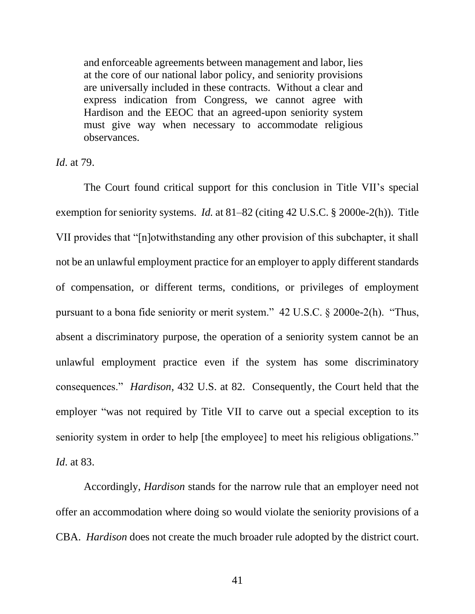and enforceable agreements between management and labor, lies at the core of our national labor policy, and seniority provisions are universally included in these contracts. Without a clear and express indication from Congress, we cannot agree with Hardison and the EEOC that an agreed-upon seniority system must give way when necessary to accommodate religious observances.

*Id*. at 79.

The Court found critical support for this conclusion in Title VII's special exemption for seniority systems. *Id.* at 81–82 (citing 42 U.S.C. § 2000e-2(h)). Title VII provides that "[n]otwithstanding any other provision of this subchapter, it shall not be an unlawful employment practice for an employer to apply different standards of compensation, or different terms, conditions, or privileges of employment pursuant to a bona fide seniority or merit system." 42 U.S.C. § 2000e-2(h). "Thus, absent a discriminatory purpose, the operation of a seniority system cannot be an unlawful employment practice even if the system has some discriminatory consequences." *Hardison*, 432 U.S. at 82. Consequently, the Court held that the employer "was not required by Title VII to carve out a special exception to its seniority system in order to help [the employee] to meet his religious obligations." *Id*. at 83.

Accordingly, *Hardison* stands for the narrow rule that an employer need not offer an accommodation where doing so would violate the seniority provisions of a CBA. *Hardison* does not create the much broader rule adopted by the district court.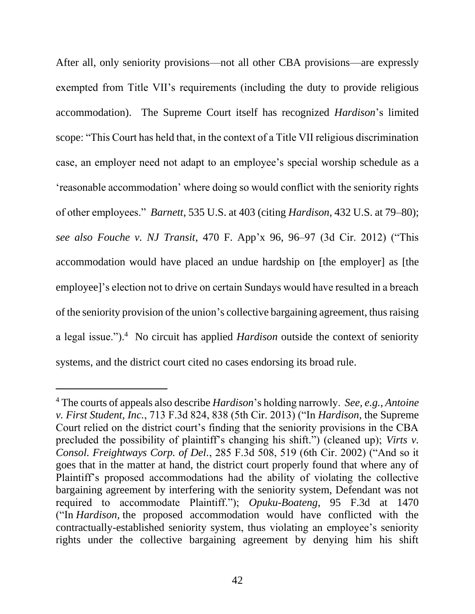After all, only seniority provisions—not all other CBA provisions—are expressly exempted from Title VII's requirements (including the duty to provide religious accommodation). The Supreme Court itself has recognized *Hardison*'s limited scope: "This Court has held that, in the context of a Title VII religious discrimination case, an employer need not adapt to an employee's special worship schedule as a 'reasonable accommodation' where doing so would conflict with the seniority rights of other employees." *Barnett*, 535 U.S. at 403 (citing *Hardison*, 432 U.S. at 79–80); *see also Fouche v. NJ Transit*, 470 F. App'x 96, 96–97 (3d Cir. 2012) ("This accommodation would have placed an undue hardship on [the employer] as [the employee]'s election not to drive on certain Sundays would have resulted in a breach of the seniority provision of the union's collective bargaining agreement, thus raising a legal issue.").<sup>4</sup> No circuit has applied *Hardison* outside the context of seniority systems, and the district court cited no cases endorsing its broad rule.

<sup>4</sup> The courts of appeals also describe *Hardison*'s holding narrowly. *See, e.g.*, *Antoine v. First Student, Inc.*, 713 F.3d 824, 838 (5th Cir. 2013) ("In *Hardison*, the Supreme Court relied on the district court's finding that the seniority provisions in the CBA precluded the possibility of plaintiff's changing his shift.") (cleaned up); *Virts v. Consol. Freightways Corp. of Del.*, 285 F.3d 508, 519 (6th Cir. 2002) ("And so it goes that in the matter at hand, the district court properly found that where any of Plaintiff's proposed accommodations had the ability of violating the collective bargaining agreement by interfering with the seniority system, Defendant was not required to accommodate Plaintiff."); *Opuku-Boateng*, 95 F.3d at 1470 ("In *Hardison,* the proposed accommodation would have conflicted with the contractually-established seniority system, thus violating an employee's seniority rights under the collective bargaining agreement by denying him his shift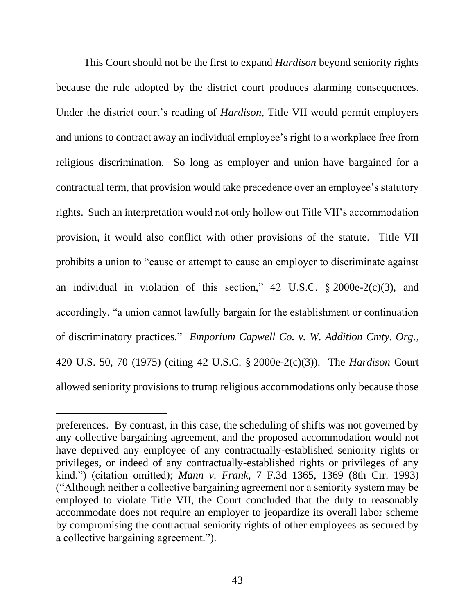This Court should not be the first to expand *Hardison* beyond seniority rights because the rule adopted by the district court produces alarming consequences. Under the district court's reading of *Hardison*, Title VII would permit employers and unions to contract away an individual employee's right to a workplace free from religious discrimination. So long as employer and union have bargained for a contractual term, that provision would take precedence over an employee's statutory rights. Such an interpretation would not only hollow out Title VII's accommodation provision, it would also conflict with other provisions of the statute. Title VII prohibits a union to "cause or attempt to cause an employer to discriminate against an individual in violation of this section," 42 U.S.C.  $\S 2000e^{-2}(c)(3)$ , and accordingly, "a union cannot lawfully bargain for the establishment or continuation of discriminatory practices." *Emporium Capwell Co. v. W. Addition Cmty. Org.*, 420 U.S. 50, 70 (1975) (citing 42 U.S.C. § 2000e-2(c)(3)). The *Hardison* Court allowed seniority provisions to trump religious accommodations only because those

preferences. By contrast, in this case, the scheduling of shifts was not governed by any collective bargaining agreement, and the proposed accommodation would not have deprived any employee of any contractually-established seniority rights or privileges, or indeed of any contractually-established rights or privileges of any kind.") (citation omitted); *Mann v. Frank*, 7 F.3d 1365, 1369 (8th Cir. 1993) ("Although neither a collective bargaining agreement nor a seniority system may be employed to violate Title VII, the Court concluded that the duty to reasonably accommodate does not require an employer to jeopardize its overall labor scheme by compromising the contractual seniority rights of other employees as secured by a collective bargaining agreement.").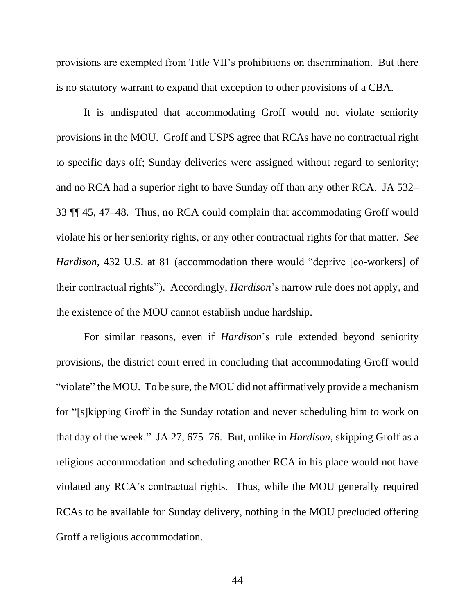provisions are exempted from Title VII's prohibitions on discrimination. But there is no statutory warrant to expand that exception to other provisions of a CBA.

It is undisputed that accommodating Groff would not violate seniority provisions in the MOU. Groff and USPS agree that RCAs have no contractual right to specific days off; Sunday deliveries were assigned without regard to seniority; and no RCA had a superior right to have Sunday off than any other RCA. JA 532– 33 ¶¶ 45, 47–48. Thus, no RCA could complain that accommodating Groff would violate his or her seniority rights, or any other contractual rights for that matter. *See Hardison*, 432 U.S. at 81 (accommodation there would "deprive [co-workers] of their contractual rights"). Accordingly, *Hardison*'s narrow rule does not apply, and the existence of the MOU cannot establish undue hardship.

For similar reasons, even if *Hardison*'s rule extended beyond seniority provisions, the district court erred in concluding that accommodating Groff would "violate" the MOU. To be sure, the MOU did not affirmatively provide a mechanism for "[s]kipping Groff in the Sunday rotation and never scheduling him to work on that day of the week." JA 27, 675–76. But, unlike in *Hardison*, skipping Groff as a religious accommodation and scheduling another RCA in his place would not have violated any RCA's contractual rights. Thus, while the MOU generally required RCAs to be available for Sunday delivery, nothing in the MOU precluded offering Groff a religious accommodation.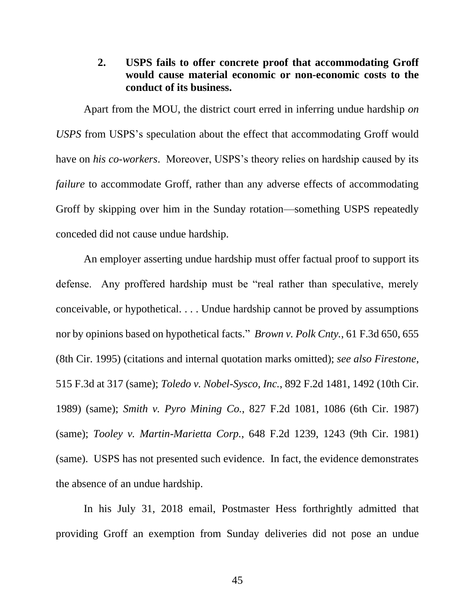## **2. USPS fails to offer concrete proof that accommodating Groff would cause material economic or non-economic costs to the conduct of its business.**

Apart from the MOU, the district court erred in inferring undue hardship *on USPS* from USPS's speculation about the effect that accommodating Groff would have on *his co-workers*. Moreover, USPS's theory relies on hardship caused by its *failure* to accommodate Groff, rather than any adverse effects of accommodating Groff by skipping over him in the Sunday rotation—something USPS repeatedly conceded did not cause undue hardship.

An employer asserting undue hardship must offer factual proof to support its defense. Any proffered hardship must be "real rather than speculative, merely conceivable, or hypothetical. . . . Undue hardship cannot be proved by assumptions nor by opinions based on hypothetical facts." *Brown v. Polk Cnty.*, 61 F.3d 650, 655 (8th Cir. 1995) (citations and internal quotation marks omitted); *see also Firestone*, 515 F.3d at 317 (same); *Toledo v. Nobel-Sysco, Inc.*, 892 F.2d 1481, 1492 (10th Cir. 1989) (same); *Smith v. Pyro Mining Co.*, 827 F.2d 1081, 1086 (6th Cir. 1987) (same); *Tooley v. Martin-Marietta Corp.*, 648 F.2d 1239, 1243 (9th Cir. 1981) (same). USPS has not presented such evidence. In fact, the evidence demonstrates the absence of an undue hardship.

In his July 31, 2018 email, Postmaster Hess forthrightly admitted that providing Groff an exemption from Sunday deliveries did not pose an undue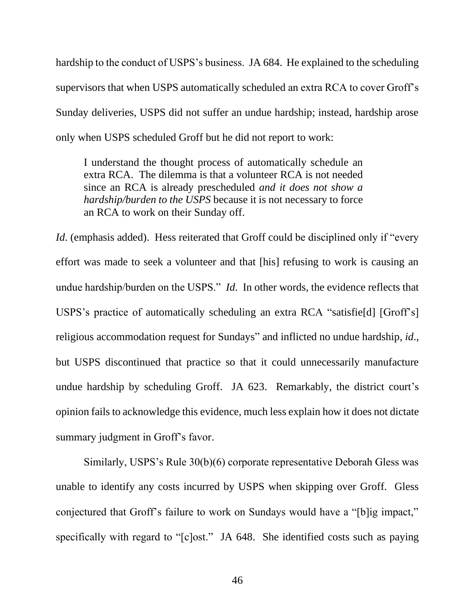hardship to the conduct of USPS's business. JA 684. He explained to the scheduling supervisors that when USPS automatically scheduled an extra RCA to cover Groff's Sunday deliveries, USPS did not suffer an undue hardship; instead, hardship arose only when USPS scheduled Groff but he did not report to work:

I understand the thought process of automatically schedule an extra RCA. The dilemma is that a volunteer RCA is not needed since an RCA is already prescheduled *and it does not show a hardship/burden to the USPS* because it is not necessary to force an RCA to work on their Sunday off.

*Id.* (emphasis added). Hess reiterated that Groff could be disciplined only if "every" effort was made to seek a volunteer and that [his] refusing to work is causing an undue hardship/burden on the USPS." *Id*. In other words, the evidence reflects that USPS's practice of automatically scheduling an extra RCA "satisfie[d] [Groff's] religious accommodation request for Sundays" and inflicted no undue hardship, *id*., but USPS discontinued that practice so that it could unnecessarily manufacture undue hardship by scheduling Groff. JA 623. Remarkably, the district court's opinion fails to acknowledge this evidence, much less explain how it does not dictate summary judgment in Groff's favor.

Similarly, USPS's Rule 30(b)(6) corporate representative Deborah Gless was unable to identify any costs incurred by USPS when skipping over Groff. Gless conjectured that Groff's failure to work on Sundays would have a "[b]ig impact," specifically with regard to "[c]ost." JA 648. She identified costs such as paying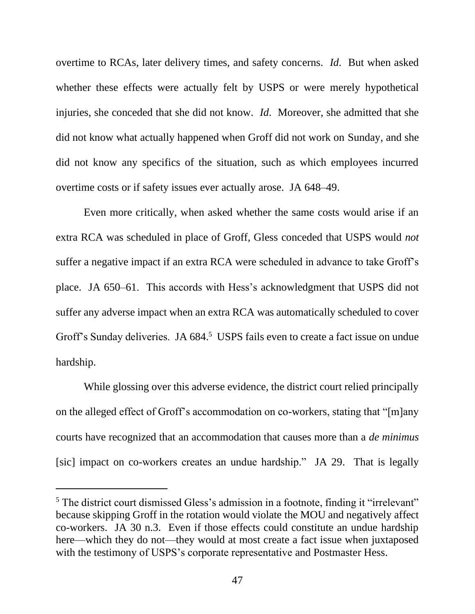overtime to RCAs, later delivery times, and safety concerns. *Id*. But when asked whether these effects were actually felt by USPS or were merely hypothetical injuries, she conceded that she did not know. *Id*. Moreover, she admitted that she did not know what actually happened when Groff did not work on Sunday, and she did not know any specifics of the situation, such as which employees incurred overtime costs or if safety issues ever actually arose. JA 648–49.

Even more critically, when asked whether the same costs would arise if an extra RCA was scheduled in place of Groff, Gless conceded that USPS would *not* suffer a negative impact if an extra RCA were scheduled in advance to take Groff's place. JA 650–61. This accords with Hess's acknowledgment that USPS did not suffer any adverse impact when an extra RCA was automatically scheduled to cover Groff's Sunday deliveries. JA 684.<sup>5</sup> USPS fails even to create a fact issue on undue hardship.

While glossing over this adverse evidence, the district court relied principally on the alleged effect of Groff's accommodation on co-workers, stating that "[m]any courts have recognized that an accommodation that causes more than a *de minimus* [sic] impact on co-workers creates an undue hardship." JA 29. That is legally

<sup>&</sup>lt;sup>5</sup> The district court dismissed Gless's admission in a footnote, finding it "irrelevant" because skipping Groff in the rotation would violate the MOU and negatively affect co-workers. JA 30 n.3. Even if those effects could constitute an undue hardship here—which they do not—they would at most create a fact issue when juxtaposed with the testimony of USPS's corporate representative and Postmaster Hess.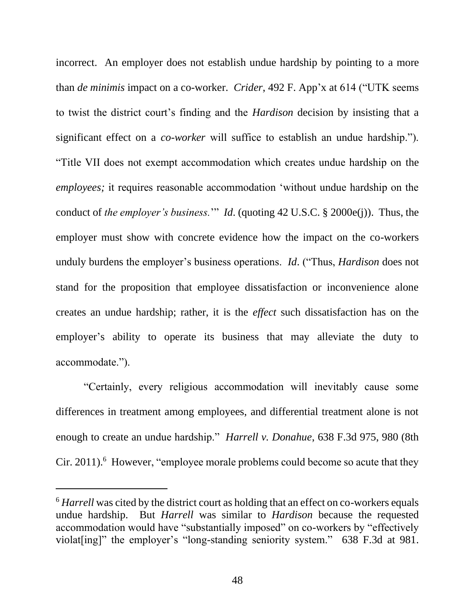incorrect. An employer does not establish undue hardship by pointing to a more than *de minimis* impact on a co-worker. *Crider*, 492 F. App'x at 614 ("UTK seems to twist the district court's finding and the *Hardison* decision by insisting that a significant effect on a *co-worker* will suffice to establish an undue hardship."). "Title VII does not exempt accommodation which creates undue hardship on the *employees;* it requires reasonable accommodation 'without undue hardship on the conduct of *the employer's business.*'" *Id*. (quoting 42 U.S.C. § 2000e(j)). Thus, the employer must show with concrete evidence how the impact on the co-workers unduly burdens the employer's business operations. *Id*. ("Thus, *Hardison* does not stand for the proposition that employee dissatisfaction or inconvenience alone creates an undue hardship; rather, it is the *effect* such dissatisfaction has on the employer's ability to operate its business that may alleviate the duty to accommodate.").

"Certainly, every religious accommodation will inevitably cause some differences in treatment among employees, and differential treatment alone is not enough to create an undue hardship." *Harrell v. Donahue*, 638 F.3d 975, 980 (8th Cir. 2011). $^6$  However, "employee morale problems could become so acute that they

<sup>6</sup> *Harrell* was cited by the district court as holding that an effect on co-workers equals undue hardship. But *Harrell* was similar to *Hardison* because the requested accommodation would have "substantially imposed" on co-workers by "effectively violat[ing]" the employer's "long-standing seniority system." 638 F.3d at 981.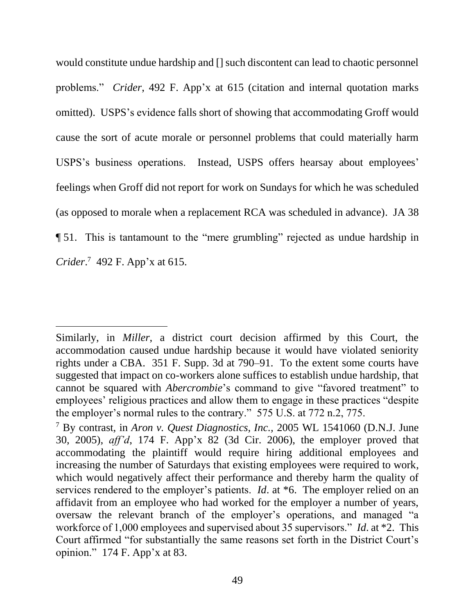would constitute undue hardship and [] such discontent can lead to chaotic personnel problems." *Crider*, 492 F. App'x at 615 (citation and internal quotation marks omitted). USPS's evidence falls short of showing that accommodating Groff would cause the sort of acute morale or personnel problems that could materially harm USPS's business operations. Instead, USPS offers hearsay about employees' feelings when Groff did not report for work on Sundays for which he was scheduled (as opposed to morale when a replacement RCA was scheduled in advance). JA 38 ¶ 51. This is tantamount to the "mere grumbling" rejected as undue hardship in *Crider*. 7 492 F. App'x at 615.

Similarly, in *Miller*, a district court decision affirmed by this Court, the accommodation caused undue hardship because it would have violated seniority rights under a CBA. 351 F. Supp. 3d at 790–91. To the extent some courts have suggested that impact on co-workers alone suffices to establish undue hardship, that cannot be squared with *Abercrombie*'s command to give "favored treatment" to employees' religious practices and allow them to engage in these practices "despite the employer's normal rules to the contrary." 575 U.S. at 772 n.2, 775.

<sup>7</sup> By contrast, in *Aron v. Quest Diagnostics, Inc.,* 2005 WL 1541060 (D.N.J. June 30, 2005), *aff'd*, 174 F. App'x 82 (3d Cir. 2006), the employer proved that accommodating the plaintiff would require hiring additional employees and increasing the number of Saturdays that existing employees were required to work, which would negatively affect their performance and thereby harm the quality of services rendered to the employer's patients. *Id*. at \*6. The employer relied on an affidavit from an employee who had worked for the employer a number of years, oversaw the relevant branch of the employer's operations, and managed "a workforce of 1,000 employees and supervised about 35 supervisors." *Id*. at \*2. This Court affirmed "for substantially the same reasons set forth in the District Court's opinion." 174 F. App'x at 83.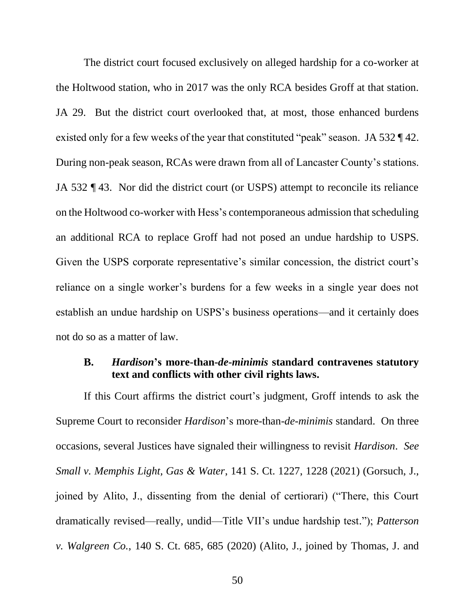The district court focused exclusively on alleged hardship for a co-worker at the Holtwood station, who in 2017 was the only RCA besides Groff at that station. JA 29. But the district court overlooked that, at most, those enhanced burdens existed only for a few weeks of the year that constituted "peak" season. JA 532 ¶ 42. During non-peak season, RCAs were drawn from all of Lancaster County's stations. JA 532 ¶ 43. Nor did the district court (or USPS) attempt to reconcile its reliance on the Holtwood co-worker with Hess's contemporaneous admission that scheduling an additional RCA to replace Groff had not posed an undue hardship to USPS. Given the USPS corporate representative's similar concession, the district court's reliance on a single worker's burdens for a few weeks in a single year does not establish an undue hardship on USPS's business operations—and it certainly does not do so as a matter of law.

## **B.** *Hardison***'s more-than-***de***-***minimis* **standard contravenes statutory text and conflicts with other civil rights laws.**

If this Court affirms the district court's judgment, Groff intends to ask the Supreme Court to reconsider *Hardison*'s more-than-*de*-*minimis* standard. On three occasions, several Justices have signaled their willingness to revisit *Hardison*. *See Small v. Memphis Light, Gas & Water*, 141 S. Ct. 1227, 1228 (2021) (Gorsuch, J., joined by Alito, J., dissenting from the denial of certiorari) ("There, this Court dramatically revised—really, undid—Title VII's undue hardship test."); *Patterson v. Walgreen Co.*, 140 S. Ct. 685, 685 (2020) (Alito, J., joined by Thomas, J. and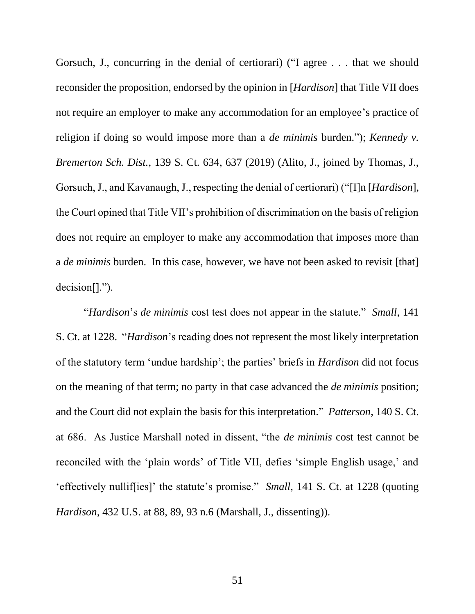Gorsuch, J., concurring in the denial of certiorari) ("I agree . . . that we should reconsider the proposition, endorsed by the opinion in [*Hardison*] that Title VII does not require an employer to make any accommodation for an employee's practice of religion if doing so would impose more than a *de minimis* burden."); *Kennedy v. Bremerton Sch. Dist.*, 139 S. Ct. 634, 637 (2019) (Alito, J., joined by Thomas, J., Gorsuch, J., and Kavanaugh, J., respecting the denial of certiorari) ("[I]n [*Hardison*], the Court opined that Title VII's prohibition of discrimination on the basis of religion does not require an employer to make any accommodation that imposes more than a *de minimis* burden. In this case, however, we have not been asked to revisit [that] decision[].").

"*Hardison*'s *de minimis* cost test does not appear in the statute." *Small*, 141 S. Ct. at 1228. "*Hardison*'s reading does not represent the most likely interpretation of the statutory term 'undue hardship'; the parties' briefs in *Hardison* did not focus on the meaning of that term; no party in that case advanced the *de minimis* position; and the Court did not explain the basis for this interpretation." *Patterson*, 140 S. Ct. at 686. As Justice Marshall noted in dissent, "the *de minimis* cost test cannot be reconciled with the 'plain words' of Title VII, defies 'simple English usage,' and 'effectively nullif[ies]' the statute's promise." *Small*, 141 S. Ct. at 1228 (quoting *Hardison*, 432 U.S. at 88, 89, 93 n.6 (Marshall, J., dissenting)).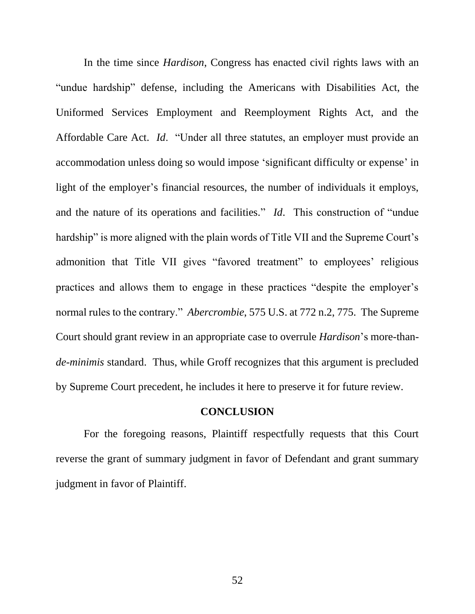In the time since *Hardison*, Congress has enacted civil rights laws with an "undue hardship" defense, including the Americans with Disabilities Act, the Uniformed Services Employment and Reemployment Rights Act, and the Affordable Care Act. *Id*. "Under all three statutes, an employer must provide an accommodation unless doing so would impose 'significant difficulty or expense' in light of the employer's financial resources, the number of individuals it employs, and the nature of its operations and facilities." *Id*. This construction of "undue hardship" is more aligned with the plain words of Title VII and the Supreme Court's admonition that Title VII gives "favored treatment" to employees' religious practices and allows them to engage in these practices "despite the employer's normal rules to the contrary." *Abercrombie*, 575 U.S. at 772 n.2, 775. The Supreme Court should grant review in an appropriate case to overrule *Hardison*'s more-than*de*-*minimis* standard. Thus, while Groff recognizes that this argument is precluded by Supreme Court precedent, he includes it here to preserve it for future review.

## **CONCLUSION**

For the foregoing reasons, Plaintiff respectfully requests that this Court reverse the grant of summary judgment in favor of Defendant and grant summary judgment in favor of Plaintiff.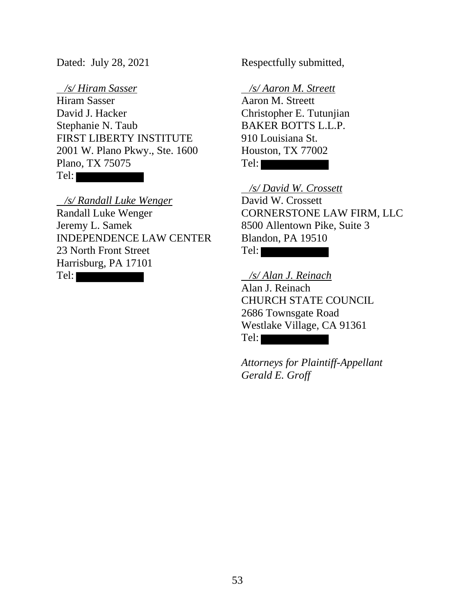*/s/ Hiram Sasser*  Hiram Sasser David J. Hacker Stephanie N. Taub FIRST LIBERTY INSTITUTE 2001 W. Plano Pkwy., Ste. 1600 Plano, TX 75075 Tel:

 */s/ Randall Luke Wenger*  Randall Luke Wenger Jeremy L. Samek INDEPENDENCE LAW CENTER 23 North Front Street Harrisburg, PA 17101

Tel:

Dated: July 28, 2021 Respectfully submitted,

*/s/ Aaron M. Streett* 

Aaron M. Streett Christopher E. Tutunjian BAKER BOTTS L.L.P. 910 Louisiana St. Houston, TX 77002 Tel:

 */s/ David W. Crossett*  David W. Crossett CORNERSTONE LAW FIRM, LLC 8500 Allentown Pike, Suite 3 Blandon, PA 19510 Tel:

 */s/ Alan J. Reinach*  Alan J. Reinach CHURCH STATE COUNCIL 2686 Townsgate Road Westlake Village, CA 91361 Tel:

*Attorneys for Plaintiff-Appellant Gerald E. Groff*